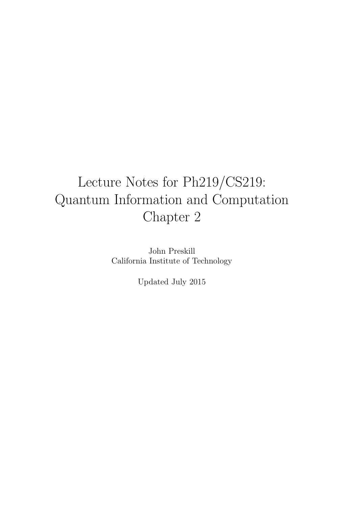# Lecture Notes for Ph219/CS219: Quantum Information and Computation Chapter 2

John Preskill California Institute of Technology

Updated July 2015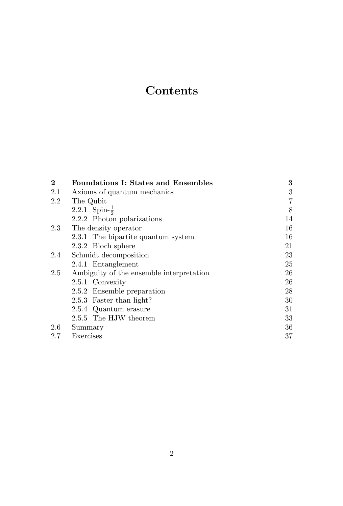## **Contents**

| $\bf{2}$ | <b>Foundations I: States and Ensembles</b> | 3              |
|----------|--------------------------------------------|----------------|
| 2.1      | Axioms of quantum mechanics                | 3              |
| 2.2      | The Qubit                                  | $\overline{7}$ |
|          | 2.2.1 Spin- $\frac{1}{2}$                  | 8              |
|          | 2.2.2 Photon polarizations                 | 14             |
| 2.3      | The density operator                       | 16             |
|          | 2.3.1 The bipartite quantum system         | 16             |
|          | 2.3.2 Bloch sphere                         | 21             |
| 2.4      | Schmidt decomposition                      | 23             |
|          | 2.4.1 Entanglement                         | 25             |
| 2.5      | Ambiguity of the ensemble interpretation   | 26             |
|          | 2.5.1 Convexity                            | 26             |
|          | 2.5.2 Ensemble preparation                 | 28             |
|          | 2.5.3 Faster than light?                   | 30             |
|          | 2.5.4 Quantum erasure                      | 31             |
|          | 2.5.5 The HJW theorem                      | 33             |
| 2.6      | Summary                                    | 36             |
| 2.7      | Exercises                                  | 37             |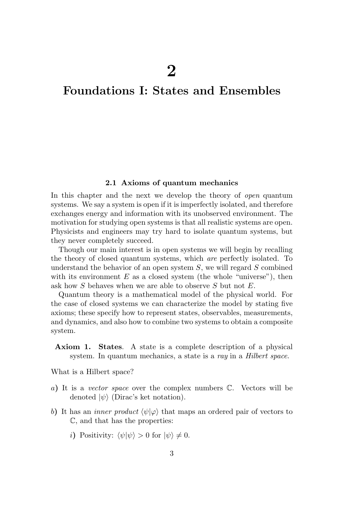## Foundations I: States and Ensembles

#### 2.1 Axioms of quantum mechanics

In this chapter and the next we develop the theory of open quantum systems. We say a system is open if it is imperfectly isolated, and therefore exchanges energy and information with its unobserved environment. The motivation for studying open systems is that all realistic systems are open. Physicists and engineers may try hard to isolate quantum systems, but they never completely succeed.

Though our main interest is in open systems we will begin by recalling the theory of closed quantum systems, which are perfectly isolated. To understand the behavior of an open system  $S$ , we will regard  $S$  combined with its environment  $E$  as a closed system (the whole "universe"), then ask how S behaves when we are able to observe S but not E.

Quantum theory is a mathematical model of the physical world. For the case of closed systems we can characterize the model by stating five axioms; these specify how to represent states, observables, measurements, and dynamics, and also how to combine two systems to obtain a composite system.

Axiom 1. States. A state is a complete description of a physical system. In quantum mechanics, a state is a ray in a Hilbert space.

What is a Hilbert space?

- a) It is a vector space over the complex numbers C. Vectors will be denoted  $|\psi\rangle$  (Dirac's ket notation).
- b) It has an *inner product*  $\langle \psi | \varphi \rangle$  that maps an ordered pair of vectors to C, and that has the properties:
	- i) Positivity:  $\langle \psi | \psi \rangle > 0$  for  $| \psi \rangle \neq 0$ .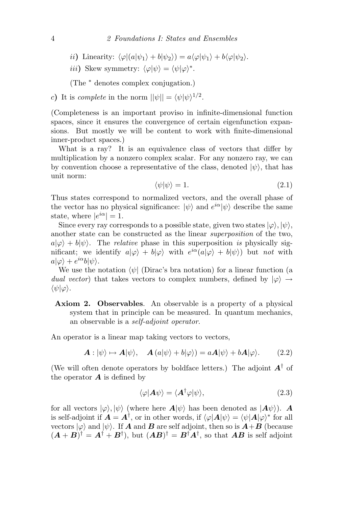ii) Linearity:  $\langle \varphi | (a|\psi_1\rangle + b|\psi_2\rangle) = a \langle \varphi | \psi_1 \rangle + b \langle \varphi | \psi_2 \rangle$ .

iii) Skew symmetry:  $\langle \varphi | \psi \rangle = \langle \psi | \varphi \rangle^*$ .

(The <sup>∗</sup> denotes complex conjugation.)

c) It is complete in the norm  $||\psi|| = \langle \psi | \psi \rangle^{1/2}$ .

(Completeness is an important proviso in infinite-dimensional function spaces, since it ensures the convergence of certain eigenfunction expansions. But mostly we will be content to work with finite-dimensional inner-product spaces.)

What is a ray? It is an equivalence class of vectors that differ by multiplication by a nonzero complex scalar. For any nonzero ray, we can by convention choose a representative of the class, denoted  $|\psi\rangle$ , that has unit norm:

$$
\langle \psi | \psi \rangle = 1. \tag{2.1}
$$

Thus states correspond to normalized vectors, and the overall phase of the vector has no physical significance:  $|\psi\rangle$  and  $e^{i\alpha}|\psi\rangle$  describe the same state, where  $|e^{i\alpha}| = 1$ .

Since every ray corresponds to a possible state, given two states  $|\varphi\rangle, |\psi\rangle$ , another state can be constructed as the linear superposition of the two,  $a|\varphi\rangle + b|\psi\rangle$ . The *relative* phase in this superposition is physically significant; we identify  $a|\varphi\rangle + b|\varphi\rangle$  with  $e^{i\alpha}(a|\varphi\rangle + b|\psi\rangle)$  but not with  $a|\varphi\rangle + e^{i\alpha}b|\psi\rangle.$ 

We use the notation  $\langle \psi |$  (Dirac's bra notation) for a linear function (a dual vector) that takes vectors to complex numbers, defined by  $|\varphi\rangle \rightarrow$  $\langle \psi | \varphi \rangle$ .

Axiom 2. Observables. An observable is a property of a physical system that in principle can be measured. In quantum mechanics, an observable is a self-adjoint operator.

An operator is a linear map taking vectors to vectors,

$$
\mathbf{A}: |\psi\rangle \mapsto \mathbf{A}|\psi\rangle, \quad \mathbf{A}(a|\psi\rangle + b|\varphi\rangle) = a\mathbf{A}|\psi\rangle + b\mathbf{A}|\varphi\rangle. \tag{2.2}
$$

(We will often denote operators by boldface letters.) The adjoint  $A^{\dagger}$  of the operator  $\boldsymbol{A}$  is defined by

$$
\langle \varphi | A \psi \rangle = \langle A^{\dagger} \varphi | \psi \rangle, \tag{2.3}
$$

for all vectors  $|\varphi\rangle, |\psi\rangle$  (where here  $A|\psi\rangle$  has been denoted as  $|A\psi\rangle$ ). A is self-adjoint if  $\mathbf{A} = \mathbf{A}^{\dagger}$ , or in other words, if  $\langle \varphi | \mathbf{A} | \psi \rangle = \langle \psi | \mathbf{A} | \varphi \rangle^*$  for all vectors  $|\varphi\rangle$  and  $|\psi\rangle$ . If **A** and **B** are self adjoint, then so is  $A+B$  (because  $(A + B)^{\dagger} = A^{\dagger} + B^{\dagger}$ , but  $(AB)^{\dagger} = B^{\dagger}A^{\dagger}$ , so that **AB** is self adjoint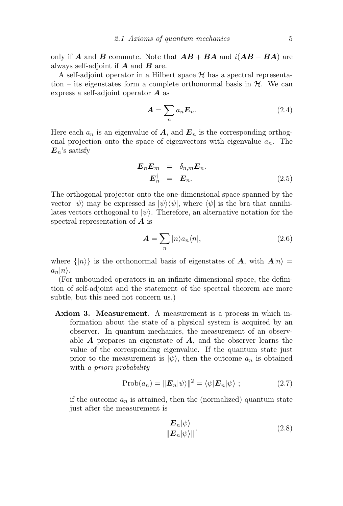only if A and B commute. Note that  $AB + BA$  and  $i(AB - BA)$  are always self-adjoint if  $A$  and  $B$  are.

A self-adjoint operator in a Hilbert space  $\mathcal H$  has a spectral representation – its eigenstates form a complete orthonormal basis in  $H$ . We can express a self-adjoint operator  $\boldsymbol{A}$  as

$$
A = \sum_{n} a_n E_n.
$$
 (2.4)

Here each  $a_n$  is an eigenvalue of **A**, and  $\mathbf{E}_n$  is the corresponding orthogonal projection onto the space of eigenvectors with eigenvalue  $a_n$ . The  $E_n$ 's satisfy

$$
\begin{array}{rcl}\n\boldsymbol{E}_n \boldsymbol{E}_m &=& \delta_{n,m} \boldsymbol{E}_n. \\
\boldsymbol{E}_n^\dagger &=& \boldsymbol{E}_n.\n\end{array} \tag{2.5}
$$

The orthogonal projector onto the one-dimensional space spanned by the vector  $|\psi\rangle$  may be expressed as  $|\psi\rangle\langle\psi|$ , where  $\langle\psi|$  is the bra that annihilates vectors orthogonal to  $|\psi\rangle$ . Therefore, an alternative notation for the spectral representation of A is

$$
A = \sum_{n} |n\rangle a_n \langle n|,\tag{2.6}
$$

where  $\{|n\rangle\}$  is the orthonormal basis of eigenstates of A, with  $A|n\rangle =$  $a_n|n\rangle$ .

(For unbounded operators in an infinite-dimensional space, the definition of self-adjoint and the statement of the spectral theorem are more subtle, but this need not concern us.)

Axiom 3. Measurement. A measurement is a process in which information about the state of a physical system is acquired by an observer. In quantum mechanics, the measurement of an observable  $\bf{A}$  prepares an eigenstate of  $\bf{A}$ , and the observer learns the value of the corresponding eigenvalue. If the quantum state just prior to the measurement is  $|\psi\rangle$ , then the outcome  $a_n$  is obtained with a *priori* probability

$$
Prob(a_n) = ||\boldsymbol{E}_n|\psi\rangle||^2 = \langle\psi|\boldsymbol{E}_n|\psi\rangle ; \qquad (2.7)
$$

if the outcome  $a_n$  is attained, then the (normalized) quantum state just after the measurement is

$$
\frac{E_n|\psi\rangle}{\|E_n|\psi\rangle\|}.\tag{2.8}
$$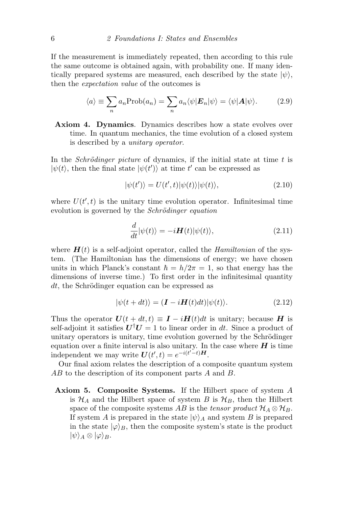If the measurement is immediately repeated, then according to this rule the same outcome is obtained again, with probability one. If many identically prepared systems are measured, each described by the state  $|\psi\rangle$ , then the expectation value of the outcomes is

$$
\langle a \rangle \equiv \sum_{n} a_{n} \text{Prob}(a_{n}) = \sum_{n} a_{n} \langle \psi | \mathbf{E}_{n} | \psi \rangle = \langle \psi | \mathbf{A} | \psi \rangle. \tag{2.9}
$$

Axiom 4. Dynamics. Dynamics describes how a state evolves over time. In quantum mechanics, the time evolution of a closed system is described by a unitary operator.

In the *Schrödinger picture* of dynamics, if the initial state at time  $t$  is  $|\psi(t)\rangle$ , then the final state  $|\psi(t')\rangle$  at time t' can be expressed as

$$
|\psi(t')\rangle = U(t',t)|\psi(t)\rangle|\psi(t)\rangle, \qquad (2.10)
$$

where  $U(t',t)$  is the unitary time evolution operator. Infinitesimal time evolution is governed by the *Schrödinger equation* 

$$
\frac{d}{dt}|\psi(t)\rangle = -i\boldsymbol{H}(t)|\psi(t)\rangle,\tag{2.11}
$$

where  $H(t)$  is a self-adjoint operator, called the *Hamiltonian* of the system. (The Hamiltonian has the dimensions of energy; we have chosen units in which Planck's constant  $\hbar = h/2\pi = 1$ , so that energy has the dimensions of inverse time.) To first order in the infinitesimal quantity  $dt$ , the Schrödinger equation can be expressed as

$$
|\psi(t+dt)\rangle = (\mathbf{I} - i\mathbf{H}(t)dt)|\psi(t)\rangle.
$$
 (2.12)

Thus the operator  $U(t + dt, t) \equiv I - iH(t)dt$  is unitary; because H is self-adjoint it satisfies  $U^{\dagger}U = 1$  to linear order in dt. Since a product of unitary operators is unitary, time evolution governed by the Schrödinger equation over a finite interval is also unitary. In the case where  $H$  is time independent we may write  $U(t',t) = e^{-i(t'-t)H}$ .

Our final axiom relates the description of a composite quantum system AB to the description of its component parts A and B.

Axiom 5. Composite Systems. If the Hilbert space of system A is  $\mathcal{H}_A$  and the Hilbert space of system B is  $\mathcal{H}_B$ , then the Hilbert space of the composite systems AB is the tensor product  $\mathcal{H}_A \otimes \mathcal{H}_B$ . If system A is prepared in the state  $|\psi\rangle_A$  and system B is prepared in the state  $|\varphi\rangle_B$ , then the composite system's state is the product  $|\psi\rangle_A \otimes |\varphi\rangle_B.$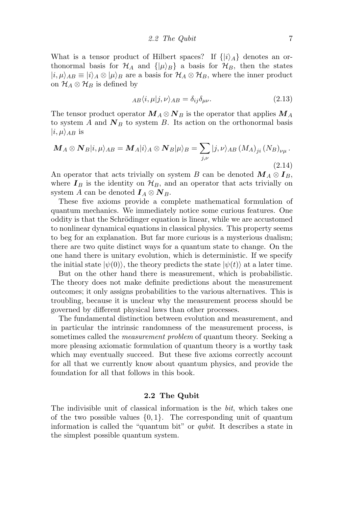What is a tensor product of Hilbert spaces? If  $\{|i\rangle_A\}$  denotes an orthonormal basis for  $\mathcal{H}_A$  and  $\{|\mu\rangle_B\}$  a basis for  $\mathcal{H}_B$ , then the states  $|i, \mu\rangle_{AB} \equiv |i\rangle_A \otimes |\mu\rangle_B$  are a basis for  $\mathcal{H}_A \otimes \mathcal{H}_B$ , where the inner product on  $\mathcal{H}_A \otimes \mathcal{H}_B$  is defined by

$$
_{AB}\langle i,\mu|j,\nu\rangle_{AB}=\delta_{ij}\delta_{\mu\nu}.\tag{2.13}
$$

The tensor product operator  $M_A \otimes N_B$  is the operator that applies  $M_A$ to system A and  $N_B$  to system B. Its action on the orthonormal basis  $|i,\mu\rangle_{AB}$  is

$$
\mathbf{M}_{A} \otimes \mathbf{N}_{B} |i, \mu\rangle_{AB} = \mathbf{M}_{A} |i\rangle_{A} \otimes \mathbf{N}_{B} | \mu\rangle_{B} = \sum_{j, \nu} |j, \nu\rangle_{AB} (M_{A})_{ji} (N_{B})_{\nu\mu}.
$$
\n(2.14)

An operator that acts trivially on system B can be denoted  $M_A \otimes I_B$ , where  $I_B$  is the identity on  $\mathcal{H}_B$ , and an operator that acts trivially on system A can be denoted  $I_A \otimes N_B$ .

These five axioms provide a complete mathematical formulation of quantum mechanics. We immediately notice some curious features. One oddity is that the Schrödinger equation is linear, while we are accustomed to nonlinear dynamical equations in classical physics. This property seems to beg for an explanation. But far more curious is a mysterious dualism; there are two quite distinct ways for a quantum state to change. On the one hand there is unitary evolution, which is deterministic. If we specify the initial state  $|\psi(0)\rangle$ , the theory predicts the state  $|\psi(t)\rangle$  at a later time.

But on the other hand there is measurement, which is probabilistic. The theory does not make definite predictions about the measurement outcomes; it only assigns probabilities to the various alternatives. This is troubling, because it is unclear why the measurement process should be governed by different physical laws than other processes.

The fundamental distinction between evolution and measurement, and in particular the intrinsic randomness of the measurement process, is sometimes called the measurement problem of quantum theory. Seeking a more pleasing axiomatic formulation of quantum theory is a worthy task which may eventually succeed. But these five axioms correctly account for all that we currently know about quantum physics, and provide the foundation for all that follows in this book.

#### 2.2 The Qubit

The indivisible unit of classical information is the bit, which takes one of the two possible values  $\{0, 1\}$ . The corresponding unit of quantum information is called the "quantum bit" or qubit. It describes a state in the simplest possible quantum system.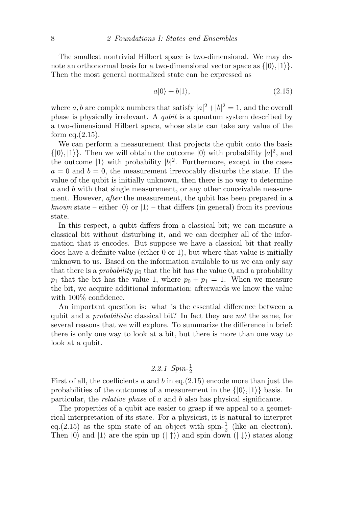The smallest nontrivial Hilbert space is two-dimensional. We may denote an orthonormal basis for a two-dimensional vector space as  $\{|0\rangle, |1\rangle\}.$ Then the most general normalized state can be expressed as

$$
a|0\rangle + b|1\rangle, \tag{2.15}
$$

where a, b are complex numbers that satisfy  $|a|^2 + |b|^2 = 1$ , and the overall phase is physically irrelevant. A qubit is a quantum system described by a two-dimensional Hilbert space, whose state can take any value of the form eq. $(2.15)$ .

We can perform a measurement that projects the qubit onto the basis  $\{|0\rangle, |1\rangle\}$ . Then we will obtain the outcome  $|0\rangle$  with probability  $|a|^2$ , and the outcome  $|1\rangle$  with probability  $|b|^2$ . Furthermore, except in the cases  $a = 0$  and  $b = 0$ , the measurement irrevocably disturbs the state. If the value of the qubit is initially unknown, then there is no way to determine a and b with that single measurement, or any other conceivable measurement. However, *after* the measurement, the qubit has been prepared in a known state – either  $|0\rangle$  or  $|1\rangle$  – that differs (in general) from its previous state.

In this respect, a qubit differs from a classical bit; we can measure a classical bit without disturbing it, and we can decipher all of the information that it encodes. But suppose we have a classical bit that really does have a definite value (either 0 or 1), but where that value is initially unknown to us. Based on the information available to us we can only say that there is a *probability*  $p_0$  that the bit has the value 0, and a probability  $p_1$  that the bit has the value 1, where  $p_0 + p_1 = 1$ . When we measure the bit, we acquire additional information; afterwards we know the value with 100% confidence.

An important question is: what is the essential difference between a qubit and a probabilistic classical bit? In fact they are not the same, for several reasons that we will explore. To summarize the difference in brief: there is only one way to look at a bit, but there is more than one way to look at a qubit.

### 2.2.1  $Spin-\frac{1}{2}$

First of all, the coefficients a and b in eq.  $(2.15)$  encode more than just the probabilities of the outcomes of a measurement in the  $\{|0\rangle, |1\rangle\}$  basis. In particular, the relative phase of a and b also has physical significance.

The properties of a qubit are easier to grasp if we appeal to a geometrical interpretation of its state. For a physicist, it is natural to interpret eq.(2.15) as the spin state of an object with spin- $\frac{1}{2}$  (like an electron). Then  $|0\rangle$  and  $|1\rangle$  are the spin up  $(| \uparrow \rangle)$  and spin down  $(| \downarrow \rangle)$  states along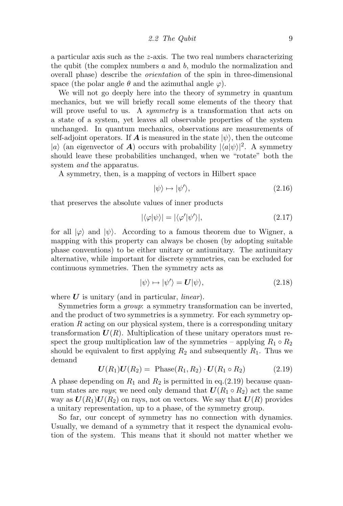a particular axis such as the z-axis. The two real numbers characterizing the qubit (the complex numbers  $a$  and  $b$ , modulo the normalization and overall phase) describe the orientation of the spin in three-dimensional space (the polar angle  $\theta$  and the azimuthal angle  $\varphi$ ).

We will not go deeply here into the theory of symmetry in quantum mechanics, but we will briefly recall some elements of the theory that will prove useful to us. A *symmetry* is a transformation that acts on a state of a system, yet leaves all observable properties of the system unchanged. In quantum mechanics, observations are measurements of self-adjoint operators. If **A** is measured in the state  $|\psi\rangle$ , then the outcome |a) (an eigenvector of **A**) occurs with probability  $|\langle a|\psi\rangle|^2$ . A symmetry should leave these probabilities unchanged, when we "rotate" both the system *and* the apparatus.

A symmetry, then, is a mapping of vectors in Hilbert space

$$
|\psi\rangle \mapsto |\psi'\rangle,\tag{2.16}
$$

that preserves the absolute values of inner products

$$
|\langle \varphi | \psi \rangle| = |\langle \varphi' | \psi' \rangle|, \tag{2.17}
$$

for all  $|\varphi\rangle$  and  $|\psi\rangle$ . According to a famous theorem due to Wigner, a mapping with this property can always be chosen (by adopting suitable phase conventions) to be either unitary or antiunitary. The antiunitary alternative, while important for discrete symmetries, can be excluded for continuous symmetries. Then the symmetry acts as

$$
|\psi\rangle \mapsto |\psi'\rangle = \mathbf{U}|\psi\rangle,\tag{2.18}
$$

where  $U$  is unitary (and in particular, *linear*).

Symmetries form a *group*: a symmetry transformation can be inverted, and the product of two symmetries is a symmetry. For each symmetry operation  $R$  acting on our physical system, there is a corresponding unitary transformation  $U(R)$ . Multiplication of these unitary operators must respect the group multiplication law of the symmetries – applying  $R_1 \circ R_2$ should be equivalent to first applying  $R_2$  and subsequently  $R_1$ . Thus we demand

$$
U(R_1)U(R_2) = \text{Phase}(R_1, R_2) \cdot U(R_1 \circ R_2) \tag{2.19}
$$

A phase depending on  $R_1$  and  $R_2$  is permitted in eq.(2.19) because quantum states are rays; we need only demand that  $U(R_1 \circ R_2)$  act the same way as  $U(R_1)U(R_2)$  on rays, not on vectors. We say that  $U(R)$  provides a unitary representation, up to a phase, of the symmetry group.

So far, our concept of symmetry has no connection with dynamics. Usually, we demand of a symmetry that it respect the dynamical evolution of the system. This means that it should not matter whether we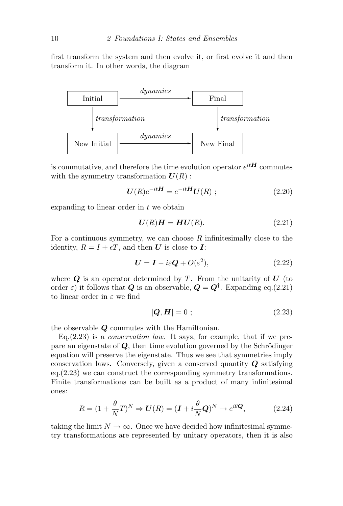first transform the system and then evolve it, or first evolve it and then transform it. In other words, the diagram



is commutative, and therefore the time evolution operator  $e^{itH}$  commutes with the symmetry transformation  $U(R)$ :

$$
\boldsymbol{U}(R)e^{-it\boldsymbol{H}} = e^{-it\boldsymbol{H}}\boldsymbol{U}(R) \; ; \tag{2.20}
$$

expanding to linear order in  $t$  we obtain

$$
U(R)H = HU(R). \tag{2.21}
$$

For a continuous symmetry, we can choose  $R$  infinitesimally close to the identity,  $R = I + \epsilon T$ , and then U is close to I:

$$
U = I - i\varepsilon Q + O(\varepsilon^2),\tag{2.22}
$$

where  $Q$  is an operator determined by T. From the unitarity of  $U$  (to order  $\varepsilon$ ) it follows that  $Q$  is an observable,  $Q = Q^{\dagger}$ . Expanding eq.(2.21) to linear order in  $\varepsilon$  we find

$$
[\boldsymbol{Q}, \boldsymbol{H}] = 0 \tag{2.23}
$$

the observable Q commutes with the Hamiltonian.

Eq.  $(2.23)$  is a *conservation law*. It says, for example, that if we prepare an eigenstate of  $Q$ , then time evolution governed by the Schrödinger equation will preserve the eigenstate. Thus we see that symmetries imply conservation laws. Conversely, given a conserved quantity  $Q$  satisfying eq.(2.23) we can construct the corresponding symmetry transformations. Finite transformations can be built as a product of many infinitesimal ones:

$$
R = (1 + \frac{\theta}{N}T)^N \Rightarrow \mathbf{U}(R) = (\mathbf{I} + i\frac{\theta}{N}\mathbf{Q})^N \to e^{i\theta\mathbf{Q}},\tag{2.24}
$$

taking the limit  $N \to \infty$ . Once we have decided how infinitesimal symmetry transformations are represented by unitary operators, then it is also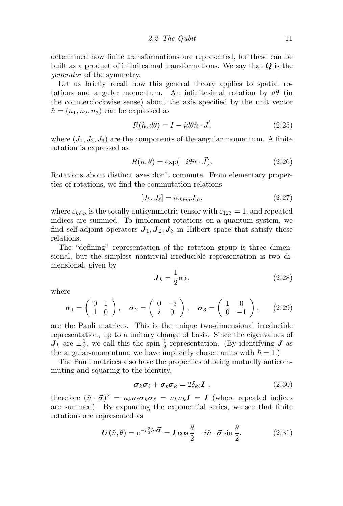determined how finite transformations are represented, for these can be built as a product of infinitesimal transformations. We say that  $Q$  is the generator of the symmetry.

Let us briefly recall how this general theory applies to spatial rotations and angular momentum. An infinitesimal rotation by  $d\theta$  (in the counterclockwise sense) about the axis specified by the unit vector  $\hat{n} = (n_1, n_2, n_3)$  can be expressed as

$$
R(\hat{n}, d\theta) = I - id\theta \hat{n} \cdot \vec{J}, \qquad (2.25)
$$

where  $(J_1, J_2, J_3)$  are the components of the angular momentum. A finite rotation is expressed as

$$
R(\hat{n}, \theta) = \exp(-i\theta \hat{n} \cdot \vec{J}).
$$
\n(2.26)

Rotations about distinct axes don't commute. From elementary properties of rotations, we find the commutation relations

$$
[J_k, J_\ell] = i\varepsilon_{k\ell m} J_m,\tag{2.27}
$$

where  $\varepsilon_{k\ell m}$  is the totally antisymmetric tensor with  $\varepsilon_{123} = 1$ , and repeated indices are summed. To implement rotations on a quantum system, we find self-adjoint operators  $J_1, J_2, J_3$  in Hilbert space that satisfy these relations.

The "defining" representation of the rotation group is three dimensional, but the simplest nontrivial irreducible representation is two dimensional, given by

$$
\boldsymbol{J}_k = \frac{1}{2}\boldsymbol{\sigma}_k,\tag{2.28}
$$

where

$$
\boldsymbol{\sigma}_1 = \begin{pmatrix} 0 & 1 \\ 1 & 0 \end{pmatrix}, \quad \boldsymbol{\sigma}_2 = \begin{pmatrix} 0 & -i \\ i & 0 \end{pmatrix}, \quad \boldsymbol{\sigma}_3 = \begin{pmatrix} 1 & 0 \\ 0 & -1 \end{pmatrix}, \qquad (2.29)
$$

are the Pauli matrices. This is the unique two-dimensional irreducible representation, up to a unitary change of basis. Since the eigenvalues of  $\boldsymbol{J}_k$  are  $\pm \frac{1}{2}$  $\frac{1}{2}$ , we call this the spin- $\frac{1}{2}$  representation. (By identifying *J* as the angular-momentum, we have implicitly chosen units with  $\hbar = 1$ .)

The Pauli matrices also have the properties of being mutually anticommuting and squaring to the identity,

$$
\boldsymbol{\sigma}_k \boldsymbol{\sigma}_\ell + \boldsymbol{\sigma}_\ell \boldsymbol{\sigma}_k = 2 \delta_{k\ell} \boldsymbol{I} ; \qquad (2.30)
$$

therefore  $(\hat{n} \cdot \vec{\sigma})^2 = n_k n_\ell \sigma_k \sigma_\ell = n_k n_k I = I$  (where repeated indices are summed). By expanding the exponential series, we see that finite rotations are represented as

$$
\boldsymbol{U}(\hat{n}, \theta) = e^{-i\frac{\theta}{2}\hat{n}\cdot\vec{\boldsymbol{\sigma}}} = \boldsymbol{I} \cos\frac{\theta}{2} - i\hat{n}\cdot\vec{\boldsymbol{\sigma}}\sin\frac{\theta}{2}.
$$
 (2.31)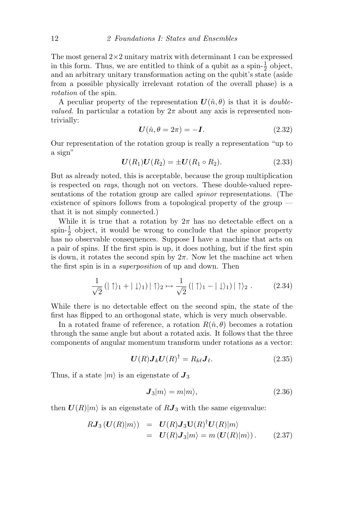The most general  $2\times 2$  unitary matrix with determinant 1 can be expressed in this form. Thus, we are entitled to think of a qubit as a spin- $\frac{1}{2}$  object, and an arbitrary unitary transformation acting on the qubit's state (aside from a possible physically irrelevant rotation of the overall phase) is a rotation of the spin.

A peculiar property of the representation  $\mathbf{U}(\hat{n},\theta)$  is that it is *doublevalued.* In particular a rotation by  $2\pi$  about any axis is represented nontrivially:

$$
\mathbf{U}(\hat{n}, \theta = 2\pi) = -\mathbf{I}.\tag{2.32}
$$

Our representation of the rotation group is really a representation "up to a sign"

$$
U(R_1)U(R_2) = \pm U(R_1 \circ R_2). \tag{2.33}
$$

But as already noted, this is acceptable, because the group multiplication is respected on rays, though not on vectors. These double-valued representations of the rotation group are called spinor representations. (The existence of spinors follows from a topological property of the group that it is not simply connected.)

While it is true that a rotation by  $2\pi$  has no detectable effect on a spin- $\frac{1}{2}$  object, it would be wrong to conclude that the spinor property has no observable consequences. Suppose I have a machine that acts on a pair of spins. If the first spin is up, it does nothing, but if the first spin is down, it rotates the second spin by  $2\pi$ . Now let the machine act when the first spin is in a superposition of up and down. Then

$$
\frac{1}{\sqrt{2}}\left(|\uparrow\rangle_1+|\downarrow\rangle_1\right)|\uparrow\rangle_2 \mapsto \frac{1}{\sqrt{2}}\left(|\uparrow\rangle_1-|\downarrow\rangle_1\right)|\uparrow\rangle_2. \tag{2.34}
$$

While there is no detectable effect on the second spin, the state of the first has flipped to an orthogonal state, which is very much observable.

In a rotated frame of reference, a rotation  $R(\hat{n}, \theta)$  becomes a rotation through the same angle but about a rotated axis. It follows that the three components of angular momentum transform under rotations as a vector:

$$
\boldsymbol{U}(R)\boldsymbol{J}_k\boldsymbol{U}(R)^{\dagger} = R_{k\ell}\boldsymbol{J}_{\ell}.
$$
 (2.35)

Thus, if a state  $|m\rangle$  is an eigenstate of  $J_3$ 

$$
\mathbf{J}_3|m\rangle = m|m\rangle,\tag{2.36}
$$

then  $U(R)|m\rangle$  is an eigenstate of  $RJ_3$  with the same eigenvalue:

$$
RJ_3(U(R)|m\rangle) = U(R)J_3U(R)^{\dagger}U(R)|m\rangle
$$
  
=  $U(R)J_3|m\rangle = m(U(R)|m\rangle).$  (2.37)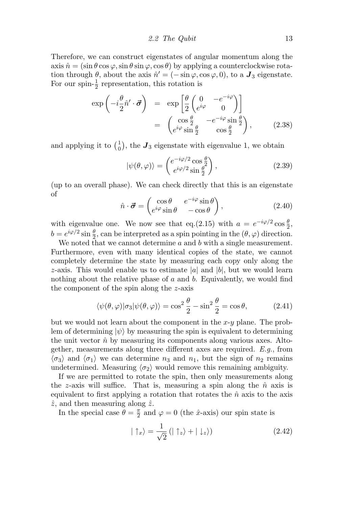2.2 The Qubit  $13$ 

Therefore, we can construct eigenstates of angular momentum along the axis  $\hat{n} = (\sin \theta \cos \varphi, \sin \theta \sin \varphi, \cos \theta)$  by applying a counterclockwise rotation through  $\theta$ , about the axis  $\hat{n}' = (-\sin \varphi, \cos \varphi, 0)$ , to a  $\boldsymbol{J}_3$  eigenstate. For our spin- $\frac{1}{2}$  representation, this rotation is

$$
\exp\left(-i\frac{\theta}{2}\hat{n}'\cdot\vec{\sigma}\right) = \exp\left[\frac{\theta}{2}\begin{pmatrix} 0 & -e^{-i\varphi} \\ e^{i\varphi} & 0 \end{pmatrix}\right] \n= \begin{pmatrix} \cos\frac{\theta}{2} & -e^{-i\varphi}\sin\frac{\theta}{2} \\ e^{i\varphi}\sin\frac{\theta}{2} & \cos\frac{\theta}{2} \end{pmatrix},
$$
\n(2.38)

and applying it to  $\begin{pmatrix} 1 \\ 0 \end{pmatrix}$  $\mathbf{J}_0$ , the  $\mathbf{J}_3$  eigenstate with eigenvalue 1, we obtain

$$
|\psi(\theta,\varphi)\rangle = \begin{pmatrix} e^{-i\varphi/2}\cos\frac{\theta}{2} \\ e^{i\varphi/2}\sin\frac{\theta}{2} \end{pmatrix},\tag{2.39}
$$

(up to an overall phase). We can check directly that this is an eigenstate of

$$
\hat{n} \cdot \vec{\sigma} = \begin{pmatrix} \cos \theta & e^{-i\varphi} \sin \theta \\ e^{i\varphi} \sin \theta & -\cos \theta \end{pmatrix},
$$
\n(2.40)

with eigenvalue one. We now see that eq.(2.15) with  $a = e^{-i\varphi/2} \cos \frac{\theta}{2}$ ,  $b = e^{i\varphi/2} \sin \frac{\theta}{2}$ , can be interpreted as a spin pointing in the  $(\theta, \varphi)$  direction.

We noted that we cannot determine  $a$  and  $b$  with a single measurement. Furthermore, even with many identical copies of the state, we cannot completely determine the state by measuring each copy only along the z-axis. This would enable us to estimate |a| and |b|, but we would learn nothing about the relative phase of  $a$  and  $b$ . Equivalently, we would find the component of the spin along the z-axis

$$
\langle \psi(\theta, \varphi) | \sigma_3 | \psi(\theta, \varphi) \rangle = \cos^2 \frac{\theta}{2} - \sin^2 \frac{\theta}{2} = \cos \theta, \tag{2.41}
$$

but we would not learn about the component in the  $x-y$  plane. The problem of determining  $|\psi\rangle$  by measuring the spin is equivalent to determining the unit vector  $\hat{n}$  by measuring its components along various axes. Altogether, measurements along three different axes are required. E.g., from  $\langle \sigma_3 \rangle$  and  $\langle \sigma_1 \rangle$  we can determine  $n_3$  and  $n_1$ , but the sign of  $n_2$  remains undetermined. Measuring  $\langle \sigma_2 \rangle$  would remove this remaining ambiguity.

If we are permitted to rotate the spin, then only measurements along the z-axis will suffice. That is, measuring a spin along the  $\hat{n}$  axis is equivalent to first applying a rotation that rotates the  $\hat{n}$  axis to the axis  $\hat{z}$ , and then measuring along  $\hat{z}$ .

In the special case  $\theta = \frac{\pi}{2}$  $\frac{\pi}{2}$  and  $\varphi = 0$  (the  $\hat{x}$ -axis) our spin state is

$$
|\uparrow_x\rangle = \frac{1}{\sqrt{2}} \left(|\uparrow_z\rangle + |\downarrow_z\rangle\right) \tag{2.42}
$$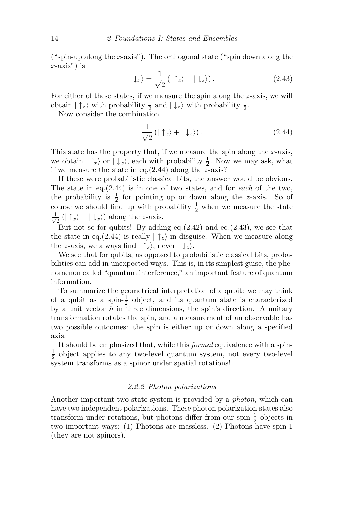("spin-up along the x-axis"). The orthogonal state ("spin down along the  $x$ -axis") is

$$
|\downarrow_x\rangle = \frac{1}{\sqrt{2}} (|\uparrow_z\rangle - |\downarrow_z\rangle). \tag{2.43}
$$

For either of these states, if we measure the spin along the z-axis, we will obtain  $|\uparrow_z\rangle$  with probability  $\frac{1}{2}$  and  $|\downarrow_z\rangle$  with probability  $\frac{1}{2}$ .

Now consider the combination

$$
\frac{1}{\sqrt{2}}\left(|\uparrow_x\rangle + |\downarrow_x\rangle\right). \tag{2.44}
$$

This state has the property that, if we measure the spin along the  $x$ -axis, we obtain  $| \uparrow_x \rangle$  or  $| \downarrow_x \rangle$ , each with probability  $\frac{1}{2}$ . Now we may ask, what if we measure the state in eq. $(2.44)$  along the z-axis?

If these were probabilistic classical bits, the answer would be obvious. The state in eq. $(2.44)$  is in one of two states, and for each of the two, the probability is  $\frac{1}{2}$  for pointing up or down along the z-axis. So of course we should find up with probability  $\frac{1}{2}$  when we measure the state  $\frac{1}{\sqrt{2}}$  $\frac{1}{2}$  (|  $\uparrow_x$  + |  $\downarrow_x$  ) along the *z*-axis.

But not so for qubits! By adding eq. $(2.42)$  and eq. $(2.43)$ , we see that the state in eq.(2.44) is really  $|\uparrow_z\rangle$  in disguise. When we measure along the z-axis, we always find  $| \uparrow_z \rangle$ , never  $| \downarrow_z \rangle$ .

We see that for qubits, as opposed to probabilistic classical bits, probabilities can add in unexpected ways. This is, in its simplest guise, the phenomenon called "quantum interference," an important feature of quantum information.

To summarize the geometrical interpretation of a qubit: we may think of a qubit as a spin- $\frac{1}{2}$  object, and its quantum state is characterized by a unit vector  $\hat{n}$  in three dimensions, the spin's direction. A unitary transformation rotates the spin, and a measurement of an observable has two possible outcomes: the spin is either up or down along a specified axis.

It should be emphasized that, while this formal equivalence with a spin-1  $\frac{1}{2}$  object applies to any two-level quantum system, not every two-level system transforms as a spinor under spatial rotations!

#### 2.2.2 Photon polarizations

Another important two-state system is provided by a photon, which can have two independent polarizations. These photon polarization states also transform under rotations, but photons differ from our spin- $\frac{1}{2}$  objects in two important ways: (1) Photons are massless. (2) Photons have spin-1 (they are not spinors).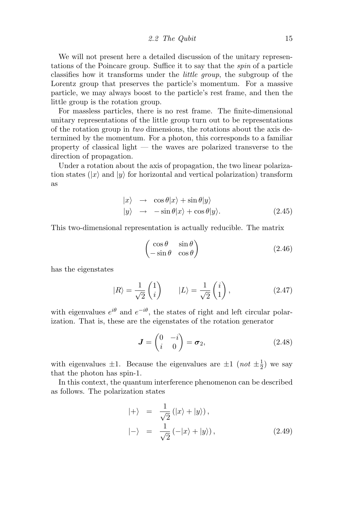2.2 The Qubit 15

We will not present here a detailed discussion of the unitary representations of the Poincare group. Suffice it to say that the spin of a particle classifies how it transforms under the little group, the subgroup of the Lorentz group that preserves the particle's momentum. For a massive particle, we may always boost to the particle's rest frame, and then the little group is the rotation group.

For massless particles, there is no rest frame. The finite-dimensional unitary representations of the little group turn out to be representations of the rotation group in two dimensions, the rotations about the axis determined by the momentum. For a photon, this corresponds to a familiar property of classical light — the waves are polarized transverse to the direction of propagation.

Under a rotation about the axis of propagation, the two linear polarization states  $(|x\rangle$  and  $|y\rangle$  for horizontal and vertical polarization) transform as

$$
|x\rangle \rightarrow \cos \theta |x\rangle + \sin \theta |y\rangle
$$
  

$$
|y\rangle \rightarrow -\sin \theta |x\rangle + \cos \theta |y\rangle.
$$
 (2.45)

This two-dimensional representation is actually reducible. The matrix

$$
\begin{pmatrix}\n\cos \theta & \sin \theta \\
-\sin \theta & \cos \theta\n\end{pmatrix}
$$
\n(2.46)

has the eigenstates

$$
|R\rangle = \frac{1}{\sqrt{2}} \begin{pmatrix} 1 \\ i \end{pmatrix} \qquad |L\rangle = \frac{1}{\sqrt{2}} \begin{pmatrix} i \\ 1 \end{pmatrix}, \tag{2.47}
$$

with eigenvalues  $e^{i\theta}$  and  $e^{-i\theta}$ , the states of right and left circular polarization. That is, these are the eigenstates of the rotation generator

$$
\boldsymbol{J} = \begin{pmatrix} 0 & -i \\ i & 0 \end{pmatrix} = \boldsymbol{\sigma}_2, \tag{2.48}
$$

with eigenvalues  $\pm 1$ . Because the eigenvalues are  $\pm 1$  (not  $\pm \frac{1}{2}$ )  $(\frac{1}{2})$  we say that the photon has spin-1.

In this context, the quantum interference phenomenon can be described as follows. The polarization states

$$
|+\rangle = \frac{1}{\sqrt{2}} (|x\rangle + |y\rangle),
$$
  

$$
|-\rangle = \frac{1}{\sqrt{2}} (-|x\rangle + |y\rangle),
$$
 (2.49)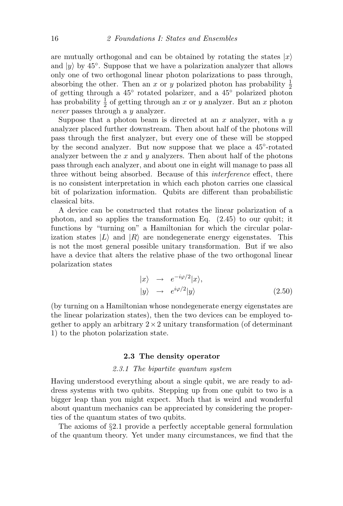are mutually orthogonal and can be obtained by rotating the states  $|x\rangle$ and  $|y\rangle$  by 45°. Suppose that we have a polarization analyzer that allows only one of two orthogonal linear photon polarizations to pass through, absorbing the other. Then an x or y polarized photon has probability  $\frac{1}{2}$ of getting through a 45<sup>°</sup> rotated polarizer, and a 45<sup>°</sup> polarized photon has probability  $\frac{1}{2}$  of getting through an x or y analyzer. But an x photon never passes through a y analyzer.

Suppose that a photon beam is directed at an x analyzer, with a  $y$ analyzer placed further downstream. Then about half of the photons will pass through the first analyzer, but every one of these will be stopped by the second analyzer. But now suppose that we place a 45<sup>°</sup>-rotated analyzer between the  $x$  and  $y$  analyzers. Then about half of the photons pass through each analyzer, and about one in eight will manage to pass all three without being absorbed. Because of this interference effect, there is no consistent interpretation in which each photon carries one classical bit of polarization information. Qubits are different than probabilistic classical bits.

A device can be constructed that rotates the linear polarization of a photon, and so applies the transformation Eq. (2.45) to our qubit; it functions by "turning on" a Hamiltonian for which the circular polarization states  $|L\rangle$  and  $|R\rangle$  are nondegenerate energy eigenstates. This is not the most general possible unitary transformation. But if we also have a device that alters the relative phase of the two orthogonal linear polarization states

$$
|x\rangle \rightarrow e^{-i\varphi/2}|x\rangle,
$$
  

$$
|y\rangle \rightarrow e^{i\varphi/2}|y\rangle
$$
 (2.50)

(by turning on a Hamiltonian whose nondegenerate energy eigenstates are the linear polarization states), then the two devices can be employed together to apply an arbitrary  $2 \times 2$  unitary transformation (of determinant 1) to the photon polarization state.

#### 2.3 The density operator

#### 2.3.1 The bipartite quantum system

Having understood everything about a single qubit, we are ready to address systems with two qubits. Stepping up from one qubit to two is a bigger leap than you might expect. Much that is weird and wonderful about quantum mechanics can be appreciated by considering the properties of the quantum states of two qubits.

The axioms of §2.1 provide a perfectly acceptable general formulation of the quantum theory. Yet under many circumstances, we find that the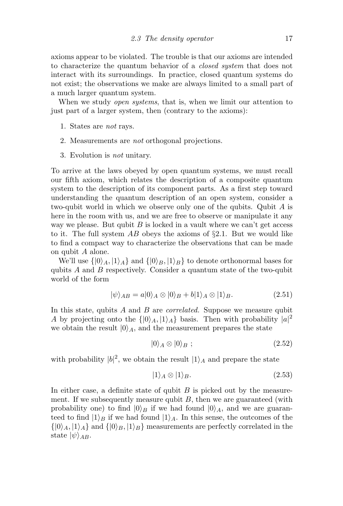axioms appear to be violated. The trouble is that our axioms are intended to characterize the quantum behavior of a closed system that does not interact with its surroundings. In practice, closed quantum systems do not exist; the observations we make are always limited to a small part of a much larger quantum system.

When we study *open systems*, that is, when we limit our attention to just part of a larger system, then (contrary to the axioms):

- 1. States are not rays.
- 2. Measurements are not orthogonal projections.
- 3. Evolution is not unitary.

To arrive at the laws obeyed by open quantum systems, we must recall our fifth axiom, which relates the description of a composite quantum system to the description of its component parts. As a first step toward understanding the quantum description of an open system, consider a two-qubit world in which we observe only one of the qubits. Qubit A is here in the room with us, and we are free to observe or manipulate it any way we please. But qubit  $B$  is locked in a vault where we can't get access to it. The full system AB obeys the axioms of  $\S 2.1$ . But we would like to find a compact way to characterize the observations that can be made on qubit A alone.

We'll use  $\{|0\rangle_A, |1\rangle_A\}$  and  $\{|0\rangle_B, |1\rangle_B\}$  to denote orthonormal bases for qubits A and B respectively. Consider a quantum state of the two-qubit world of the form

$$
|\psi\rangle_{AB} = a|0\rangle_A \otimes |0\rangle_B + b|1\rangle_A \otimes |1\rangle_B. \tag{2.51}
$$

In this state, qubits A and B are *correlated*. Suppose we measure qubit A by projecting onto the  $\{ |0\rangle_A, |1\rangle_A \}$  basis. Then with probability  $|a|^2$ we obtain the result  $|0\rangle_A$ , and the measurement prepares the state

$$
|0\rangle_A \otimes |0\rangle_B ; \qquad (2.52)
$$

with probability  $|b|^2$ , we obtain the result  $|1\rangle_A$  and prepare the state

$$
|1\rangle_A \otimes |1\rangle_B. \tag{2.53}
$$

In either case, a definite state of qubit  $B$  is picked out by the measurement. If we subsequently measure qubit  $B$ , then we are guaranteed (with probability one) to find  $|0\rangle_B$  if we had found  $|0\rangle_A$ , and we are guaranteed to find  $|1\rangle_B$  if we had found  $|1\rangle_A$ . In this sense, the outcomes of the  $\{|0\rangle_A, |1\rangle_A\}$  and  $\{|0\rangle_B, |1\rangle_B\}$  measurements are perfectly correlated in the state  $|\psi\rangle_{AB}$ .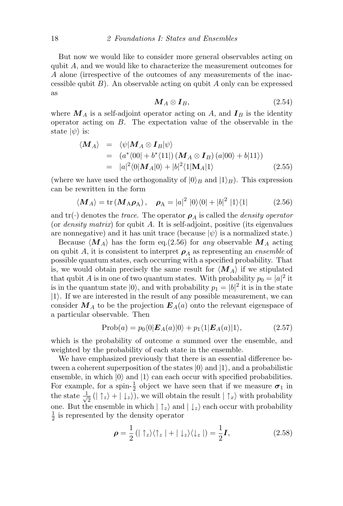But now we would like to consider more general observables acting on qubit A, and we would like to characterize the measurement outcomes for A alone (irrespective of the outcomes of any measurements of the inaccessible qubit  $B$ ). An observable acting on qubit A only can be expressed as

$$
\mathbf{M}_A \otimes \mathbf{I}_B,\tag{2.54}
$$

where  $M_A$  is a self-adjoint operator acting on A, and  $I_B$  is the identity operator acting on B. The expectation value of the observable in the state  $|\psi\rangle$  is:

$$
\langle \mathbf{M}_A \rangle = \langle \psi | \mathbf{M}_A \otimes \mathbf{I}_B | \psi \rangle
$$
  
=  $(a^* \langle 00 | + b^* \langle 11 |) (\mathbf{M}_A \otimes \mathbf{I}_B) (a | 00 \rangle + b | 11 \rangle)$   
=  $|a|^2 \langle 0 | \mathbf{M}_A | 0 \rangle + |b|^2 \langle 1 | \mathbf{M}_A | 1 \rangle$  (2.55)

(where we have used the orthogonality of  $|0\rangle_B$  and  $|1\rangle_B$ ). This expression can be rewritten in the form

$$
\langle \mathbf{M}_A \rangle = \text{tr} \left( \mathbf{M}_A \boldsymbol{\rho}_A \right), \quad \boldsymbol{\rho}_A = |a|^2 \left| 0 \rangle \langle 0 | + |b|^2 \left| 1 \rangle \langle 1 \right| \right) \tag{2.56}
$$

and  $\text{tr}(\cdot)$  denotes the *trace*. The operator  $\rho_A$  is called the *density operator* (or density matrix) for qubit A. It is self-adjoint, positive (its eigenvalues are nonnegative) and it has unit trace (because  $|\psi\rangle$  is a normalized state.)

Because  $\langle M_A \rangle$  has the form eq.(2.56) for any observable  $M_A$  acting on qubit A, it is consistent to interpret  $\rho_A$  as representing an ensemble of possible quantum states, each occurring with a specified probability. That is, we would obtain precisely the same result for  $\langle M_A \rangle$  if we stipulated that qubit A is in one of two quantum states. With probability  $p_0 = |a|^2$  it is in the quantum state  $|0\rangle$ , and with probability  $p_1 = |b|^2$  it is in the state  $|1\rangle$ . If we are interested in the result of any possible measurement, we can consider  $M_A$  to be the projection  $E_A(a)$  onto the relevant eigenspace of a particular observable. Then

$$
Prob(a) = p_0 \langle 0|E_A(a)|0\rangle + p_1 \langle 1|E_A(a)|1\rangle, \qquad (2.57)
$$

which is the probability of outcome a summed over the ensemble, and weighted by the probability of each state in the ensemble.

We have emphasized previously that there is an essential difference between a coherent superposition of the states  $|0\rangle$  and  $|1\rangle$ , and a probabilistic ensemble, in which  $|0\rangle$  and  $|1\rangle$  can each occur with specified probabilities. For example, for a spin- $\frac{1}{2}$  object we have seen that if we measure  $\sigma_1$  in the state  $\frac{1}{\sqrt{2}}$  $\frac{1}{2}$  ( $|\uparrow_z\rangle + |\downarrow_z\rangle$ ), we will obtain the result  $|\uparrow_x\rangle$  with probability one. But the ensemble in which  $| \uparrow_z \rangle$  and  $| \downarrow_z \rangle$  each occur with probability 1  $\frac{1}{2}$  is represented by the density operator

$$
\rho = \frac{1}{2} \left( |\uparrow_z\rangle\langle\uparrow_z| + |\downarrow_z\rangle\langle\downarrow_z| \right) = \frac{1}{2} I,\tag{2.58}
$$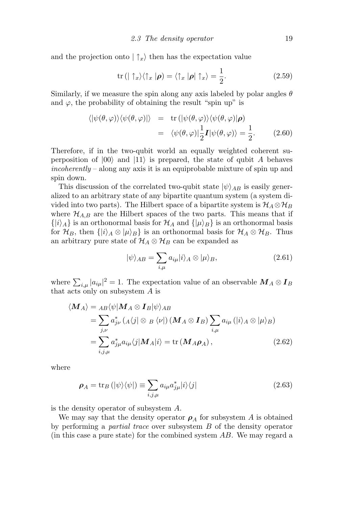and the projection onto  $|\uparrow_x\rangle$  then has the expectation value

$$
\operatorname{tr} \left( \mid \uparrow_{x} \rangle \langle \uparrow_{x} \mid \boldsymbol{\rho} \right) = \langle \uparrow_{x} \mid \boldsymbol{\rho} \mid \uparrow_{x} \rangle = \frac{1}{2}.
$$
 (2.59)

Similarly, if we measure the spin along any axis labeled by polar angles  $\theta$ and  $\varphi$ , the probability of obtaining the result "spin up" is

$$
\langle |\psi(\theta,\varphi)\rangle \langle \psi(\theta,\varphi)| \rangle = \text{tr}\left( |\psi(\theta,\varphi)\rangle \langle \psi(\theta,\varphi)| \rho \right)
$$
  
= 
$$
\langle \psi(\theta,\varphi)| \frac{1}{2} \mathbf{I} |\psi(\theta,\varphi)\rangle = \frac{1}{2}.
$$
 (2.60)

Therefore, if in the two-qubit world an equally weighted coherent superposition of  $|00\rangle$  and  $|11\rangle$  is prepared, the state of qubit A behaves incoherently – along any axis it is an equiprobable mixture of spin up and spin down.

This discussion of the correlated two-qubit state  $|\psi\rangle_{AB}$  is easily generalized to an arbitrary state of any bipartite quantum system (a system divided into two parts). The Hilbert space of a bipartite system is  $\mathcal{H}_A \otimes \mathcal{H}_B$ where  $\mathcal{H}_{A,B}$  are the Hilbert spaces of the two parts. This means that if  $\{|i\rangle_A\}$  is an orthonormal basis for  $\mathcal{H}_A$  and  $\{|\mu\rangle_B\}$  is an orthonormal basis for  $\mathcal{H}_B$ , then  $\{|i\rangle_A \otimes |\mu\rangle_B\}$  is an orthonormal basis for  $\mathcal{H}_A \otimes \mathcal{H}_B$ . Thus an arbitrary pure state of  $\mathcal{H}_A \otimes \mathcal{H}_B$  can be expanded as

$$
|\psi\rangle_{AB} = \sum_{i,\mu} a_{i\mu} |i\rangle_A \otimes |\mu\rangle_B, \qquad (2.61)
$$

where  $\sum_{i,\mu} |a_{i\mu}|^2 = 1$ . The expectation value of an observable  $\mathbf{M}_A \otimes \mathbf{I}_B$ that acts only on subsystem  $A$  is

$$
\langle \mathbf{M}_{A} \rangle = {}_{AB} \langle \psi | \mathbf{M}_{A} \otimes \mathbf{I}_{B} | \psi \rangle_{AB}
$$
  
= 
$$
\sum_{j,\nu} a_{j\nu}^{*} (A \langle j | \otimes B \langle \nu |) (\mathbf{M}_{A} \otimes \mathbf{I}_{B}) \sum_{i,\mu} a_{i\mu} (|i \rangle_{A} \otimes |\mu \rangle_{B})
$$
  
= 
$$
\sum_{i,j,\mu} a_{j\mu}^{*} a_{i\mu} \langle j | \mathbf{M}_{A} | i \rangle = \text{tr} (\mathbf{M}_{A} \boldsymbol{\rho}_{A}),
$$
 (2.62)

where

$$
\rho_A = \text{tr}_B \left( |\psi\rangle\langle\psi| \right) \equiv \sum_{i,j,\mu} a_{i\mu} a_{j\mu}^* |i\rangle\langle j| \tag{2.63}
$$

is the density operator of subsystem A.

We may say that the density operator  $\rho_A$  for subsystem A is obtained by performing a partial trace over subsystem B of the density operator (in this case a pure state) for the combined system AB. We may regard a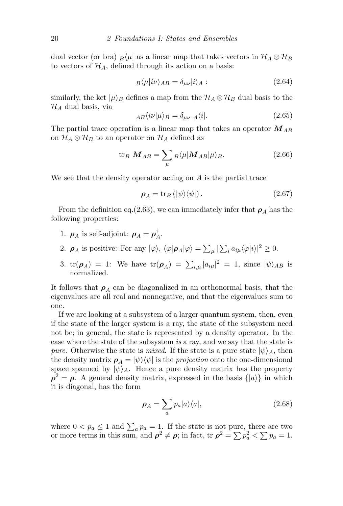dual vector (or bra)  $B\mu|$  as a linear map that takes vectors in  $\mathcal{H}_A \otimes \mathcal{H}_B$ to vectors of  $\mathcal{H}_A$ , defined through its action on a basis:

$$
B\langle \mu | i\nu \rangle_{AB} = \delta_{\mu\nu} | i \rangle_A ; \qquad (2.64)
$$

similarly, the ket  $|\mu\rangle_B$  defines a map from the  $\mathcal{H}_A \otimes \mathcal{H}_B$  dual basis to the  $\mathcal{H}_A$  dual basis, via

$$
_{AB}\langle i\nu|\mu\rangle_B = \delta_{\mu\nu} A\langle i|.\tag{2.65}
$$

The partial trace operation is a linear map that takes an operator  $M_{AB}$ on  $\mathcal{H}_A \otimes \mathcal{H}_B$  to an operator on  $\mathcal{H}_A$  defined as

$$
\text{tr}_B \ \mathbf{M}_{AB} = \sum_{\mu} B \langle \mu | \mathbf{M}_{AB} | \mu \rangle_B. \tag{2.66}
$$

We see that the density operator acting on  $A$  is the partial trace

$$
\rho_A = \text{tr}_B \left( |\psi\rangle\langle\psi| \right). \tag{2.67}
$$

From the definition eq.(2.63), we can immediately infer that  $\rho_A$  has the following properties:

- 1.  $\rho_A$  is self-adjoint:  $\rho_A = \rho_A^{\dagger}$  $\frac{1}{A}$ .
- 2.  $\rho_A$  is positive: For any  $|\varphi\rangle$ ,  $\langle \varphi | \rho_A | \varphi \rangle = \sum_{\mu} |\sum_i a_{i\mu} \langle \varphi | i \rangle|^2 \ge 0$ .
- 3.  $tr(\rho_A) = 1$ : We have  $tr(\rho_A) = \sum_{i,\mu} |a_{i\mu}|^2 = 1$ , since  $|\psi\rangle_{AB}$  is normalized.

It follows that  $\rho_A$  can be diagonalized in an orthonormal basis, that the eigenvalues are all real and nonnegative, and that the eigenvalues sum to one.

If we are looking at a subsystem of a larger quantum system, then, even if the state of the larger system is a ray, the state of the subsystem need not be; in general, the state is represented by a density operator. In the case where the state of the subsystem is a ray, and we say that the state is pure. Otherwise the state is mixed. If the state is a pure state  $|\psi\rangle_A$ , then the density matrix  $\rho_A = |\psi\rangle \langle \psi|$  is the projection onto the one-dimensional space spanned by  $|\psi\rangle_A$ . Hence a pure density matrix has the property  $\rho^2 = \rho$ . A general density matrix, expressed in the basis  $\{|a\rangle\}$  in which it is diagonal, has the form

$$
\rho_A = \sum_a p_a |a\rangle\langle a|,\tag{2.68}
$$

where  $0 < p_a \leq 1$  and  $\sum_a p_a = 1$ . If the state is not pure, there are two or more terms in this sum, and  $\rho^2 \neq \rho$ ; in fact, tr  $\rho^2 = \sum p_a^2 < \sum p_a = 1$ .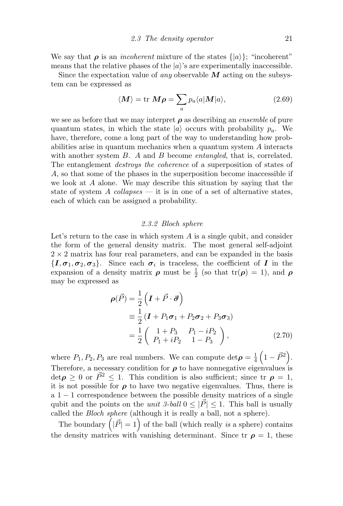We say that  $\rho$  is an *incoherent* mixture of the states  $\{|a\rangle\}$ ; "incoherent" means that the relative phases of the  $|a\rangle$ 's are experimentally inaccessible.

Since the expectation value of *any* observable  $M$  acting on the subsystem can be expressed as

$$
\langle M \rangle = \text{tr } M\rho = \sum_{a} p_a \langle a | M | a \rangle, \qquad (2.69)
$$

we see as before that we may interpret  $\rho$  as describing an *ensemble* of pure quantum states, in which the state  $|a\rangle$  occurs with probability  $p_a$ . We have, therefore, come a long part of the way to understanding how probabilities arise in quantum mechanics when a quantum system A interacts with another system B. A and B become *entangled*, that is, correlated. The entanglement destroys the coherence of a superposition of states of A, so that some of the phases in the superposition become inaccessible if we look at A alone. We may describe this situation by saying that the state of system A collapses — it is in one of a set of alternative states, each of which can be assigned a probability.

#### 2.3.2 Bloch sphere

Let's return to the case in which system  $A$  is a single qubit, and consider the form of the general density matrix. The most general self-adjoint  $2 \times 2$  matrix has four real parameters, and can be expanded in the basis  $\{I, \sigma_1, \sigma_2, \sigma_3\}$ . Since each  $\sigma_i$  is traceless, the coefficient of  $I$  in the expansion of a density matrix  $\rho$  must be  $\frac{1}{2}$  (so that  $tr(\rho) = 1$ ), and  $\rho$ may be expressed as

$$
\rho(\vec{P}) = \frac{1}{2} \left( \mathbf{I} + \vec{P} \cdot \vec{\sigma} \right)
$$
  
\n
$$
\equiv \frac{1}{2} \left( \mathbf{I} + P_1 \sigma_1 + P_2 \sigma_2 + P_3 \sigma_3 \right)
$$
  
\n
$$
= \frac{1}{2} \left( \begin{array}{cc} 1 + P_3 & P_1 - iP_2 \\ P_1 + iP_2 & 1 - P_3 \end{array} \right),
$$
 (2.70)

where  $P_1, P_2, P_3$  are real numbers. We can compute  $\det \rho = \frac{1}{4}$  $\frac{1}{4}\left(1-\vec{P}^2\right)$ . Therefore, a necessary condition for  $\rho$  to have nonnegative eigenvalues is  $\det \rho \geq 0$  or  $\vec{P}^2 \leq 1$ . This condition is also sufficient; since  $tr \rho = 1$ , it is not possible for  $\rho$  to have two negative eigenvalues. Thus, there is  $a 1 - 1$  correspondence between the possible density matrices of a single qubit and the points on the *unit 3-ball*  $0 \leq |\vec{P}| \leq 1$ . This ball is usually called the Bloch sphere (although it is really a ball, not a sphere).

The boundary  $(|\vec{P}| = 1)$  of the ball (which really is a sphere) contains the density matrices with vanishing determinant. Since tr  $\rho = 1$ , these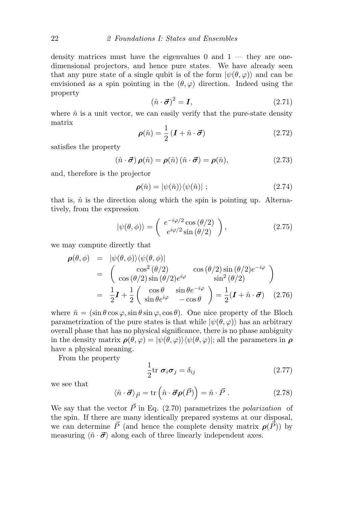density matrices must have the eigenvalues  $0$  and  $1$  — they are onedimensional projectors, and hence pure states. We have already seen that any pure state of a single qubit is of the form  $|\psi(\theta, \varphi)\rangle$  and can be envisioned as a spin pointing in the  $(\theta, \varphi)$  direction. Indeed using the property

$$
(\hat{n} \cdot \vec{\sigma})^2 = I,\tag{2.71}
$$

where  $\hat{n}$  is a unit vector, we can easily verify that the pure-state density matrix

$$
\rho(\hat{n}) = \frac{1}{2} \left( \mathbf{I} + \hat{n} \cdot \vec{\boldsymbol{\sigma}} \right) \tag{2.72}
$$

satisfies the property

$$
(\hat{n} \cdot \vec{\sigma}) \,\rho(\hat{n}) = \rho(\hat{n}) \,(\hat{n} \cdot \vec{\sigma}) = \rho(\hat{n}), \tag{2.73}
$$

and, therefore is the projector

$$
\rho(\hat{n}) = |\psi(\hat{n})\rangle\langle\psi(\hat{n})| \tag{2.74}
$$

that is,  $\hat{n}$  is the direction along which the spin is pointing up. Alternatively, from the expression

$$
|\psi(\theta,\phi)\rangle = \begin{pmatrix} e^{-i\varphi/2}\cos(\theta/2) \\ e^{i\varphi/2}\sin(\theta/2) \end{pmatrix},
$$
 (2.75)

we may compute directly that

$$
\rho(\theta,\phi) = |\psi(\theta,\phi)\rangle\langle\psi(\theta,\phi)|
$$
  
= 
$$
\begin{pmatrix} \cos^2(\theta/2) & \cos(\theta/2)\sin(\theta/2)e^{-i\varphi} \\ \cos(\theta/2)\sin(\theta/2)e^{i\varphi} & \sin^2(\theta/2) \end{pmatrix}
$$
  
= 
$$
\frac{1}{2}\mathbf{I} + \frac{1}{2}\begin{pmatrix} \cos\theta & \sin\theta e^{-i\varphi} \\ \sin\theta e^{i\varphi} & -\cos\theta \end{pmatrix} = \frac{1}{2}(\mathbf{I} + \hat{\mathbf{n}} \cdot \vec{\boldsymbol{\sigma}})
$$
 (2.76)

where  $\hat{n} = (\sin \theta \cos \varphi, \sin \theta \sin \varphi, \cos \theta)$ . One nice property of the Bloch parametrization of the pure states is that while  $|\psi(\theta, \varphi)\rangle$  has an arbitrary overall phase that has no physical significance, there is no phase ambiguity in the density matrix  $\rho(\theta, \varphi) = |\psi(\theta, \varphi)\rangle \langle \psi(\theta, \varphi)|$ ; all the parameters in  $\rho$ have a physical meaning.

From the property

$$
\frac{1}{2} \text{tr } \boldsymbol{\sigma}_i \boldsymbol{\sigma}_j = \delta_{ij} \tag{2.77}
$$

we see that

$$
\langle \hat{n} \cdot \vec{\sigma} \rangle_{\vec{P}} = \text{tr}\left(\hat{n} \cdot \vec{\sigma} \rho(\vec{P})\right) = \hat{n} \cdot \vec{P} \ . \tag{2.78}
$$

We say that the vector  $\vec{P}$  in Eq. (2.70) parametrizes the polarization of the spin. If there are many identically prepared systems at our disposal, we can determine  $\vec{P}$  (and hence the complete density matrix  $\rho(\vec{P})$ ) by measuring  $\langle \hat{n} \cdot \vec{\sigma} \rangle$  along each of three linearly independent axes.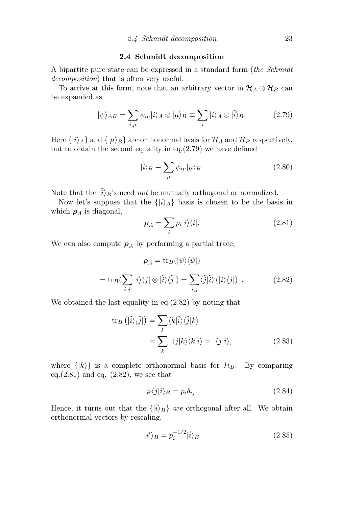#### 2.4 Schmidt decomposition

A bipartite pure state can be expressed in a standard form (the Schmidt decomposition) that is often very useful.

To arrive at this form, note that an arbitrary vector in  $\mathcal{H}_A \otimes \mathcal{H}_B$  can be expanded as

$$
|\psi\rangle_{AB} = \sum_{i,\mu} \psi_{i\mu} |i\rangle_A \otimes |\mu\rangle_B \equiv \sum_i |i\rangle_A \otimes |\tilde{i}\rangle_B. \tag{2.79}
$$

Here  $\{|i\rangle_A\}$  and  $\{| \mu \rangle_B\}$  are orthonormal basis for  $\mathcal{H}_A$  and  $\mathcal{H}_B$  respectively, but to obtain the second equality in eq. $(2.79)$  we have defined

$$
|\tilde{i}\rangle_B \equiv \sum_{\mu} \psi_{i\mu} |\mu\rangle_B.
$$
 (2.80)

Note that the  $|\tilde{i}\rangle_B$ 's need *not* be mutually orthogonal or normalized.

Now let's suppose that the  $\{|i\rangle_A\}$  basis is chosen to be the basis in which  $\rho_A$  is diagonal,

$$
\rho_A = \sum_i p_i |i\rangle\langle i|.\tag{2.81}
$$

We can also compute  $\rho_A$  by performing a partial trace,

$$
\rho_A = \text{tr}_B(|\psi\rangle\langle\psi|)
$$
  
= 
$$
\text{tr}_B(\sum_{i,j} |i\rangle\langle j| \otimes |\tilde{i}\rangle\langle\tilde{j}|) = \sum_{i,j} \langle \tilde{j}|\tilde{i}\rangle (|i\rangle\langle j|) .
$$
 (2.82)

We obtained the last equality in eq.(2.82) by noting that

$$
\operatorname{tr}_{B} \left( |\tilde{i}\rangle_{\langle \tilde{j}|} \right) = \sum_{k} \langle k|\tilde{i}\rangle \langle \tilde{j}|k\rangle
$$
  

$$
= \sum_{k} \langle \tilde{j}|k\rangle \langle k|\tilde{i}\rangle = \langle \tilde{j}|\tilde{i}\rangle, \tag{2.83}
$$

where  $\{|k\rangle\}$  is a complete orthonormal basis for  $\mathcal{H}_B$ . By comparing eq. $(2.81)$  and eq.  $(2.82)$ , we see that

$$
B\langle \tilde{j}|\tilde{i}\rangle_B = p_i \delta_{ij}.
$$
\n(2.84)

Hence, it turns out that the  $\{|\tilde{i}\rangle_B\}$  are orthogonal after all. We obtain orthonormal vectors by rescaling,

$$
|i'\rangle_B = p_i^{-1/2} |\tilde{i}\rangle_B \tag{2.85}
$$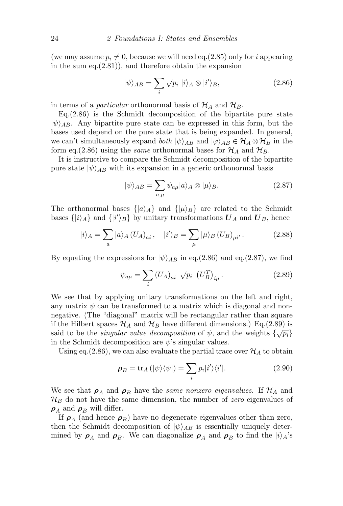(we may assume  $p_i \neq 0$ , because we will need eq.(2.85) only for i appearing in the sum eq.(2.81)), and therefore obtain the expansion

$$
|\psi\rangle_{AB} = \sum_{i} \sqrt{p_i} |i\rangle_A \otimes |i'\rangle_B, \qquad (2.86)
$$

in terms of a *particular* orthonormal basis of  $\mathcal{H}_A$  and  $\mathcal{H}_B$ .

 $Eq.(2.86)$  is the Schmidt decomposition of the bipartite pure state  $|\psi\rangle_{AB}$ . Any bipartite pure state can be expressed in this form, but the bases used depend on the pure state that is being expanded. In general, we can't simultaneously expand both  $|\psi\rangle_{AB}$  and  $|\varphi\rangle_{AB} \in \mathcal{H}_A \otimes \mathcal{H}_B$  in the form eq.(2.86) using the *same* orthonormal bases for  $\mathcal{H}_A$  and  $\mathcal{H}_B$ .

It is instructive to compare the Schmidt decomposition of the bipartite pure state  $|\psi\rangle_{AB}$  with its expansion in a generic orthonormal basis

$$
|\psi\rangle_{AB} = \sum_{a,\mu} \psi_{a\mu} |a\rangle_A \otimes |\mu\rangle_B.
$$
 (2.87)

The orthonormal bases  $\{ |a\rangle_A \}$  and  $\{ | \mu \rangle_B \}$  are related to the Schmidt bases  $\{|i\rangle_A\}$  and  $\{|i'\rangle_B\}$  by unitary transformations  $\boldsymbol{U}_A$  and  $\boldsymbol{U}_B$ , hence

$$
|i\rangle_A = \sum_a |a\rangle_A (U_A)_{ai}, \quad |i'\rangle_B = \sum_\mu | \mu \rangle_B (U_B)_{\mu i'}.
$$
 (2.88)

By equating the expressions for  $|\psi\rangle_{AB}$  in eq.(2.86) and eq.(2.87), we find

$$
\psi_{a\mu} = \sum_{i} \left( U_A \right)_{ai} \sqrt{p_i} \left( U_B^T \right)_{i\mu} . \tag{2.89}
$$

We see that by applying unitary transformations on the left and right, any matrix  $\psi$  can be transformed to a matrix which is diagonal and nonnegative. (The "diagonal" matrix will be rectangular rather than square if the Hilbert spaces  $\mathcal{H}_A$  and  $\mathcal{H}_B$  have different dimensions.) Eq.(2.89) is said to be the *singular value decomposition* of  $\psi$ , and the weights  $\{\sqrt{p_i}\}$ in the Schmidt decomposition are  $\psi$ 's singular values.

Using eq. (2.86), we can also evaluate the partial trace over  $\mathcal{H}_A$  to obtain

$$
\rho_B = \text{tr}_A\left(|\psi\rangle\langle\psi|\right) = \sum_i p_i |i'\rangle\langle i'|.\tag{2.90}
$$

We see that  $\rho_A$  and  $\rho_B$  have the same nonzero eigenvalues. If  $\mathcal{H}_A$  and  $\mathcal{H}_B$  do not have the same dimension, the number of *zero* eigenvalues of  $\rho_A$  and  $\rho_B$  will differ.

If  $\rho_A$  (and hence  $\rho_B$ ) have no degenerate eigenvalues other than zero, then the Schmidt decomposition of  $|\psi\rangle_{AB}$  is essentially uniquely determined by  $\rho_A$  and  $\rho_B$ . We can diagonalize  $\rho_A$  and  $\rho_B$  to find the  $|i\rangle_A$ 's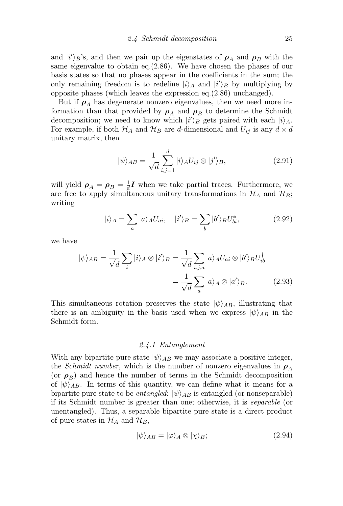and  $|i'\rangle_B$ 's, and then we pair up the eigenstates of  $\rho_A$  and  $\rho_B$  with the same eigenvalue to obtain eq.(2.86). We have chosen the phases of our basis states so that no phases appear in the coefficients in the sum; the only remaining freedom is to redefine  $|i\rangle_A$  and  $|i'\rangle_B$  by multiplying by opposite phases (which leaves the expression eq.(2.86) unchanged).

But if  $\rho_A$  has degenerate nonzero eigenvalues, then we need more information than that provided by  $\rho_A$  and  $\rho_B$  to determine the Schmidt decomposition; we need to know which  $|i'\rangle_B$  gets paired with each  $|i\rangle_A$ . For example, if both  $\mathcal{H}_A$  and  $\mathcal{H}_B$  are d-dimensional and  $U_{ij}$  is any  $d \times d$ unitary matrix, then

$$
|\psi\rangle_{AB} = \frac{1}{\sqrt{d}} \sum_{i,j=1}^{d} |i\rangle_{A} U_{ij} \otimes |j'\rangle_{B},
$$
\n(2.91)

will yield  $\rho_A = \rho_B = \frac{1}{d}$  $\frac{1}{d}$ **I** when we take partial traces. Furthermore, we are free to apply simultaneous unitary transformations in  $\mathcal{H}_A$  and  $\mathcal{H}_B$ ; writing

$$
|i\rangle_A = \sum_a |a\rangle_A U_{ai}, \quad |i'\rangle_B = \sum_b |b'\rangle_B U_{bi}^*, \tag{2.92}
$$

we have

$$
|\psi\rangle_{AB} = \frac{1}{\sqrt{d}} \sum_{i} |i\rangle_{A} \otimes |i'\rangle_{B} = \frac{1}{\sqrt{d}} \sum_{i,j,a} |a\rangle_{A} U_{ai} \otimes |b'\rangle_{B} U_{ib}^{\dagger} = \frac{1}{\sqrt{d}} \sum_{a} |a\rangle_{A} \otimes |a'\rangle_{B}.
$$
 (2.93)

This simultaneous rotation preserves the state  $|\psi\rangle_{AB}$ , illustrating that there is an ambiguity in the basis used when we express  $|\psi\rangle_{AB}$  in the Schmidt form.

#### 2.4.1 Entanglement

With any bipartite pure state  $|\psi\rangle_{AB}$  we may associate a positive integer, the *Schmidt number*, which is the number of nonzero eigenvalues in  $\rho_A$ (or  $\rho_B$ ) and hence the number of terms in the Schmidt decomposition of  $|\psi\rangle_{AB}$ . In terms of this quantity, we can define what it means for a bipartite pure state to be *entangled*:  $|\psi\rangle_{AB}$  is entangled (or nonseparable) if its Schmidt number is greater than one; otherwise, it is separable (or unentangled). Thus, a separable bipartite pure state is a direct product of pure states in  $\mathcal{H}_A$  and  $\mathcal{H}_B$ ,

$$
|\psi\rangle_{AB} = |\varphi\rangle_A \otimes |\chi\rangle_B; \tag{2.94}
$$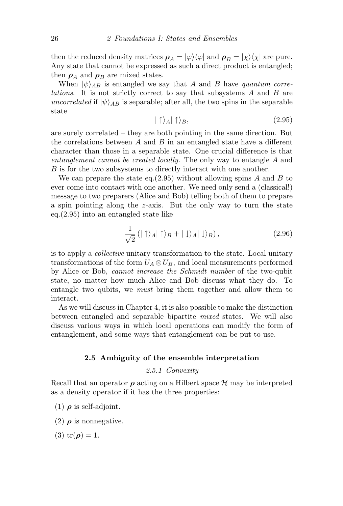then the reduced density matrices  $\rho_A = |\varphi\rangle\langle\varphi|$  and  $\rho_B = |\chi\rangle\langle\chi|$  are pure. Any state that cannot be expressed as such a direct product is entangled; then  $\rho_A$  and  $\rho_B$  are mixed states.

When  $|\psi\rangle_{AB}$  is entangled we say that A and B have quantum correlations. It is not strictly correct to say that subsystems A and B are uncorrelated if  $|\psi\rangle_{AB}$  is separable; after all, the two spins in the separable state

$$
|\uparrow\rangle_A|\uparrow\rangle_B,\tag{2.95}
$$

are surely correlated – they are both pointing in the same direction. But the correlations between  $A$  and  $B$  in an entangled state have a different character than those in a separable state. One crucial difference is that entanglement cannot be created locally. The only way to entangle A and B is for the two subsystems to directly interact with one another.

We can prepare the state eq.  $(2.95)$  without allowing spins A and B to ever come into contact with one another. We need only send a (classical!) message to two preparers (Alice and Bob) telling both of them to prepare a spin pointing along the z-axis. But the only way to turn the state eq.(2.95) into an entangled state like

$$
\frac{1}{\sqrt{2}}\left(|\uparrow\rangle_A|\uparrow\rangle_B+|\downarrow\rangle_A|\downarrow\rangle_B\right),\tag{2.96}
$$

is to apply a collective unitary transformation to the state. Local unitary transformations of the form  $U_A \otimes U_B$ , and local measurements performed by Alice or Bob, cannot increase the Schmidt number of the two-qubit state, no matter how much Alice and Bob discuss what they do. To entangle two qubits, we must bring them together and allow them to interact.

As we will discuss in Chapter 4, it is also possible to make the distinction between entangled and separable bipartite mixed states. We will also discuss various ways in which local operations can modify the form of entanglement, and some ways that entanglement can be put to use.

#### 2.5 Ambiguity of the ensemble interpretation

#### 2.5.1 Convexity

Recall that an operator  $\rho$  acting on a Hilbert space  $\mathcal H$  may be interpreted as a density operator if it has the three properties:

(1)  $\rho$  is self-adjoint.

- (2)  $\rho$  is nonnegative.
- (3)  $tr(\rho) = 1$ .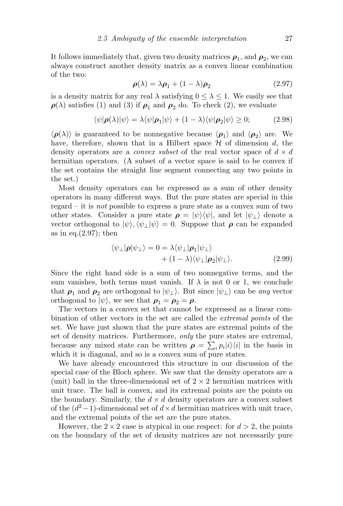It follows immediately that, given two density matrices  $\rho_1$ , and  $\rho_2$ , we can always construct another density matrix as a convex linear combination of the two:

$$
\rho(\lambda) = \lambda \rho_1 + (1 - \lambda)\rho_2 \tag{2.97}
$$

is a density matrix for any real  $\lambda$  satisfying  $0 \leq \lambda \leq 1$ . We easily see that  $\rho(\lambda)$  satisfies (1) and (3) if  $\rho_1$  and  $\rho_2$  do. To check (2), we evaluate

$$
\langle \psi | \boldsymbol{\rho}(\lambda) | \psi \rangle = \lambda \langle \psi | \boldsymbol{\rho}_1 | \psi \rangle + (1 - \lambda) \langle \psi | \boldsymbol{\rho}_2 | \psi \rangle \ge 0; \tag{2.98}
$$

 $\langle \rho(\lambda) \rangle$  is guaranteed to be nonnegative because  $\langle \rho_1 \rangle$  and  $\langle \rho_2 \rangle$  are. We have, therefore, shown that in a Hilbert space  $\mathcal H$  of dimension d, the density operators are a *convex subset* of the real vector space of  $d \times d$ hermitian operators. (A subset of a vector space is said to be convex if the set contains the straight line segment connecting any two points in the set.)

Most density operators can be expressed as a sum of other density operators in many different ways. But the pure states are special in this regard – it is not possible to express a pure state as a convex sum of two other states. Consider a pure state  $\rho = |\psi\rangle\langle\psi|$ , and let  $|\psi_{\perp}\rangle$  denote a vector orthogonal to  $|\psi\rangle, \langle \psi_{\perp}|\psi\rangle = 0$ . Suppose that  $\rho$  can be expanded as in eq. $(2.97)$ ; then

$$
\langle \psi_{\perp} | \boldsymbol{\rho} | \psi_{\perp} \rangle = 0 = \lambda \langle \psi_{\perp} | \boldsymbol{\rho}_1 | \psi_{\perp} \rangle + (1 - \lambda) \langle \psi_{\perp} | \boldsymbol{\rho}_2 | \psi_{\perp} \rangle.
$$
 (2.99)

Since the right hand side is a sum of two nonnegative terms, and the sum vanishes, both terms must vanish. If  $\lambda$  is not 0 or 1, we conclude that  $\rho_1$  and  $\rho_2$  are orthogonal to  $|\psi_1\rangle$ . But since  $|\psi_1\rangle$  can be any vector orthogonal to  $|\psi\rangle$ , we see that  $\rho_1 = \rho_2 = \rho$ .

The vectors in a convex set that cannot be expressed as a linear combination of other vectors in the set are called the extremal points of the set. We have just shown that the pure states are extremal points of the set of density matrices. Furthermore, *only* the pure states are extremal, because any mixed state can be written  $\rho = \sum_i p_i |i\rangle\langle i|$  in the basis in which it is diagonal, and so is a convex sum of pure states.

We have already encountered this structure in our discussion of the special case of the Bloch sphere. We saw that the density operators are a (unit) ball in the three-dimensional set of  $2 \times 2$  hermitian matrices with unit trace. The ball is convex, and its extremal points are the points on the boundary. Similarly, the  $d \times d$  density operators are a convex subset of the  $(d^2-1)$ -dimensional set of  $d \times d$  hermitian matrices with unit trace, and the extremal points of the set are the pure states.

However, the  $2 \times 2$  case is atypical in one respect: for  $d > 2$ , the points on the boundary of the set of density matrices are not necessarily pure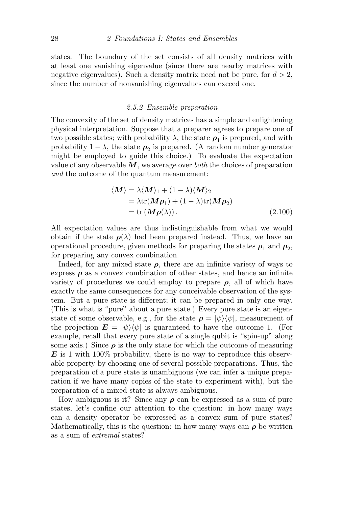states. The boundary of the set consists of all density matrices with at least one vanishing eigenvalue (since there are nearby matrices with negative eigenvalues). Such a density matrix need not be pure, for  $d > 2$ , since the number of nonvanishing eigenvalues can exceed one.

#### 2.5.2 Ensemble preparation

The convexity of the set of density matrices has a simple and enlightening physical interpretation. Suppose that a preparer agrees to prepare one of two possible states; with probability  $\lambda$ , the state  $\rho_1$  is prepared, and with probability  $1 - \lambda$ , the state  $\rho_2$  is prepared. (A random number generator might be employed to guide this choice.) To evaluate the expectation value of any observable  $M$ , we average over both the choices of preparation and the outcome of the quantum measurement:

$$
\langle \mathbf{M} \rangle = \lambda \langle \mathbf{M} \rangle_1 + (1 - \lambda) \langle \mathbf{M} \rangle_2
$$
  
=  $\lambda \text{tr}(\mathbf{M}\boldsymbol{\rho}_1) + (1 - \lambda) \text{tr}(\mathbf{M}\boldsymbol{\rho}_2)$   
=  $\text{tr}(\mathbf{M}\boldsymbol{\rho}(\lambda)).$  (2.100)

All expectation values are thus indistinguishable from what we would obtain if the state  $\rho(\lambda)$  had been prepared instead. Thus, we have an operational procedure, given methods for preparing the states  $\rho_1$  and  $\rho_2$ , for preparing any convex combination.

Indeed, for any mixed state  $\rho$ , there are an infinite variety of ways to express  $\rho$  as a convex combination of other states, and hence an infinite variety of procedures we could employ to prepare  $\rho$ , all of which have exactly the same consequences for any conceivable observation of the system. But a pure state is different; it can be prepared in only one way. (This is what is "pure" about a pure state.) Every pure state is an eigenstate of some observable, e.g., for the state  $\rho = |\psi\rangle \langle \psi|$ , measurement of the projection  $\mathbf{E} = |\psi\rangle\langle\psi|$  is guaranteed to have the outcome 1. (For example, recall that every pure state of a single qubit is "spin-up" along some axis.) Since  $\rho$  is the only state for which the outcome of measuring  $\boldsymbol{E}$  is 1 with 100% probability, there is no way to reproduce this observable property by choosing one of several possible preparations. Thus, the preparation of a pure state is unambiguous (we can infer a unique preparation if we have many copies of the state to experiment with), but the preparation of a mixed state is always ambiguous.

How ambiguous is it? Since any  $\rho$  can be expressed as a sum of pure states, let's confine our attention to the question: in how many ways can a density operator be expressed as a convex sum of pure states? Mathematically, this is the question: in how many ways can  $\rho$  be written as a sum of extremal states?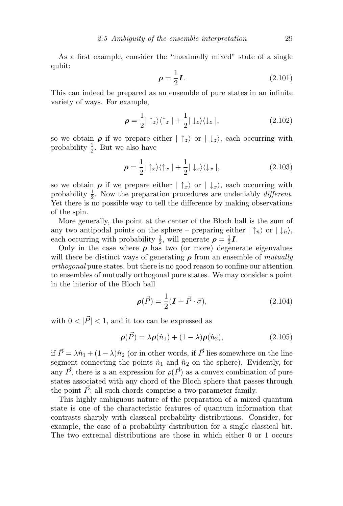As a first example, consider the "maximally mixed" state of a single qubit:

$$
\rho = \frac{1}{2}I. \tag{2.101}
$$

This can indeed be prepared as an ensemble of pure states in an infinite variety of ways. For example,

$$
\rho = \frac{1}{2} |\uparrow_z\rangle\langle\uparrow_z| + \frac{1}{2} |\downarrow_z\rangle\langle\downarrow_z|,\tag{2.102}
$$

so we obtain  $\rho$  if we prepare either  $|\uparrow_z\rangle$  or  $|\downarrow_z\rangle$ , each occurring with probability  $\frac{1}{2}$ . But we also have

$$
\rho = \frac{1}{2} |\uparrow_x\rangle\langle\uparrow_x| + \frac{1}{2} |\downarrow_x\rangle\langle\downarrow_x|,\tag{2.103}
$$

so we obtain  $\rho$  if we prepare either  $|\uparrow_x\rangle$  or  $|\downarrow_x\rangle$ , each occurring with probability  $\frac{1}{2}$ . Now the preparation procedures are undeniably *different*. Yet there is no possible way to tell the difference by making observations of the spin.

More generally, the point at the center of the Bloch ball is the sum of any two antipodal points on the sphere – preparing either  $|\uparrow_{\hat{n}}\rangle$  or  $|\downarrow_{\hat{n}}\rangle$ , each occurring with probability  $\frac{1}{2}$ , will generate  $\rho = \frac{1}{2}$  $\frac{1}{2}$ **I**.

Only in the case where  $\rho$  has two (or more) degenerate eigenvalues will there be distinct ways of generating  $\rho$  from an ensemble of *mutually* orthogonal pure states, but there is no good reason to confine our attention to ensembles of mutually orthogonal pure states. We may consider a point in the interior of the Bloch ball

$$
\rho(\vec{P}) = \frac{1}{2}(\mathbf{I} + \vec{P} \cdot \vec{\sigma}),\tag{2.104}
$$

with  $0 < |\vec{P}| < 1$ , and it too can be expressed as

$$
\rho(\vec{P}) = \lambda \rho(\hat{n}_1) + (1 - \lambda)\rho(\hat{n}_2), \qquad (2.105)
$$

if  $\vec{P} = \lambda \hat{n}_1 + (1 - \lambda)\hat{n}_2$  (or in other words, if  $\vec{P}$  lies somewhere on the line segment connecting the points  $\hat{n}_1$  and  $\hat{n}_2$  on the sphere). Evidently, for any  $\vec{P}$ , there is a an expression for  $\rho(\vec{P})$  as a convex combination of pure states associated with any chord of the Bloch sphere that passes through the point  $\vec{P}$ ; all such chords comprise a two-parameter family.

This highly ambiguous nature of the preparation of a mixed quantum state is one of the characteristic features of quantum information that contrasts sharply with classical probability distributions. Consider, for example, the case of a probability distribution for a single classical bit. The two extremal distributions are those in which either 0 or 1 occurs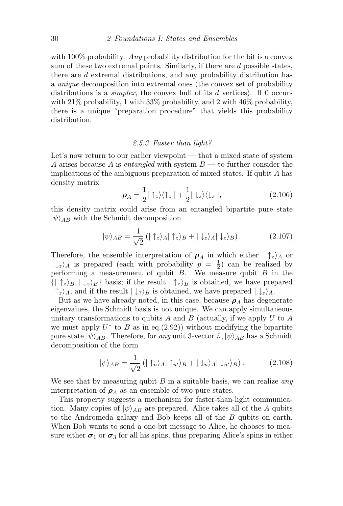with  $100\%$  probability. Any probability distribution for the bit is a convex sum of these two extremal points. Similarly, if there are d possible states, there are d extremal distributions, and any probability distribution has a unique decomposition into extremal ones (the convex set of probability distributions is a *simplex*, the convex hull of its  $d$  vertices). If 0 occurs with 21\% probability, 1 with 33\% probability, and 2 with 46\% probability, there is a unique "preparation procedure" that yields this probability distribution.

#### 2.5.3 Faster than light?

Let's now return to our earlier viewpoint — that a mixed state of system A arises because A is entangled with system  $B$  — to further consider the implications of the ambiguous preparation of mixed states. If qubit A has density matrix

$$
\rho_A = \frac{1}{2} |\uparrow_z\rangle\langle\uparrow_z| + \frac{1}{2} |\downarrow_z\rangle\langle\downarrow_z|,\tag{2.106}
$$

this density matrix could arise from an entangled bipartite pure state  $|\psi\rangle_{AB}$  with the Schmidt decomposition

$$
|\psi\rangle_{AB} = \frac{1}{\sqrt{2}} \left( |\uparrow_z\rangle_A |\uparrow_z\rangle_B + |\downarrow_z\rangle_A |\downarrow_z\rangle_B \right). \tag{2.107}
$$

Therefore, the ensemble interpretation of  $\rho_A$  in which either  $|\uparrow_z\rangle_A$  or  $|\downarrow_z\rangle_A$  is prepared (each with probability  $p = \frac{1}{2}$  $(\frac{1}{2})$  can be realized by performing a measurement of qubit  $B$ . We measure qubit  $B$  in the  $\{ | \uparrow_z\rangle_B, | \downarrow_z\rangle_B \}$  basis; if the result  $| \uparrow_z\rangle_B$  is obtained, we have prepared  $|\uparrow_z\rangle_A$ , and if the result  $|\downarrow_{7}\rangle_B$  is obtained, we have prepared  $|\downarrow_z\rangle_A$ .

But as we have already noted, in this case, because  $\rho_A$  has degenerate eigenvalues, the Schmidt basis is not unique. We can apply simultaneous unitary transformations to qubits A and B (actually, if we apply U to A we must apply  $U^*$  to B as in eq.(2.92)) without modifying the bipartite pure state  $|\psi\rangle_{AB}$ . Therefore, for any unit 3-vector  $\hat{n}, |\psi\rangle_{AB}$  has a Schmidt decomposition of the form

$$
|\psi\rangle_{AB} = \frac{1}{\sqrt{2}} \left( |\uparrow_{\hat{n}}\rangle_A | \uparrow_{\hat{n}'}\rangle_B + |\downarrow_{\hat{n}}\rangle_A | \downarrow_{\hat{n}'}\rangle_B \right). \tag{2.108}
$$

We see that by measuring qubit  $B$  in a suitable basis, we can realize any interpretation of  $\rho_A$  as an ensemble of two pure states.

This property suggests a mechanism for faster-than-light communication. Many copies of  $|\psi\rangle_{AB}$  are prepared. Alice takes all of the A qubits to the Andromeda galaxy and Bob keeps all of the B qubits on earth. When Bob wants to send a one-bit message to Alice, he chooses to measure either  $\sigma_1$  or  $\sigma_3$  for all his spins, thus preparing Alice's spins in either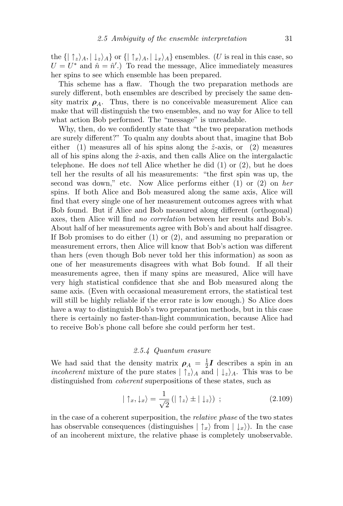the  $\{|\uparrow_z\rangle_A, |\downarrow_z\rangle_A\}$  or  $\{|\uparrow_x\rangle_A, |\downarrow_x\rangle_A\}$  ensembles. (U is real in this case, so  $U = U^*$  and  $\hat{n} = \hat{n}'$ .) To read the message, Alice immediately measures her spins to see which ensemble has been prepared.

This scheme has a flaw. Though the two preparation methods are surely different, both ensembles are described by precisely the same density matrix  $\rho_A$ . Thus, there is no conceivable measurement Alice can make that will distinguish the two ensembles, and no way for Alice to tell what action Bob performed. The "message" is unreadable.

Why, then, do we confidently state that "the two preparation methods are surely different?" To qualm any doubts about that, imagine that Bob either (1) measures all of his spins along the  $\hat{z}$ -axis, or (2) measures all of his spins along the  $\hat{x}$ -axis, and then calls Alice on the intergalactic telephone. He does *not* tell Alice whether he did  $(1)$  or  $(2)$ , but he does tell her the results of all his measurements: "the first spin was up, the second was down," etc. Now Alice performs either (1) or (2) on her spins. If both Alice and Bob measured along the same axis, Alice will find that every single one of her measurement outcomes agrees with what Bob found. But if Alice and Bob measured along different (orthogonal) axes, then Alice will find no correlation between her results and Bob's. About half of her measurements agree with Bob's and about half disagree. If Bob promises to do either (1) or (2), and assuming no preparation or measurement errors, then Alice will know that Bob's action was different than hers (even though Bob never told her this information) as soon as one of her measurements disagrees with what Bob found. If all their measurements agree, then if many spins are measured, Alice will have very high statistical confidence that she and Bob measured along the same axis. (Even with occasional measurement errors, the statistical test will still be highly reliable if the error rate is low enough.) So Alice does have a way to distinguish Bob's two preparation methods, but in this case there is certainly no faster-than-light communication, because Alice had to receive Bob's phone call before she could perform her test.

#### 2.5.4 Quantum erasure

We had said that the density matrix  $\rho_A = \frac{1}{2}$  $\frac{1}{2}I$  describes a spin in an *incoherent* mixture of the pure states  $| \hat{z} \rangle_A$  and  $| \hat{z} \rangle_A$ . This was to be distinguished from coherent superpositions of these states, such as

$$
|\uparrow_x, \downarrow_x\rangle = \frac{1}{\sqrt{2}} \left(|\uparrow_z\rangle \pm |\downarrow_z\rangle\right) ; \qquad (2.109)
$$

in the case of a coherent superposition, the relative phase of the two states has observable consequences (distinguishes  $|\uparrow_x\rangle$  from  $|\downarrow_x\rangle$ ). In the case of an incoherent mixture, the relative phase is completely unobservable.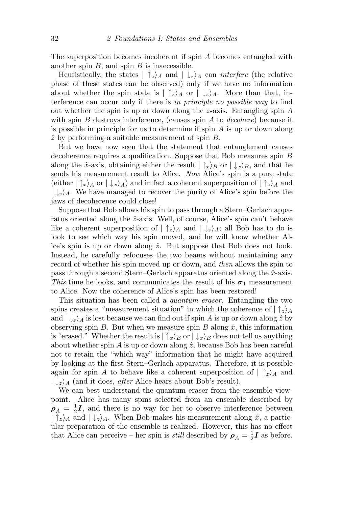The superposition becomes incoherent if spin A becomes entangled with another spin  $B$ , and spin  $B$  is inaccessible.

Heuristically, the states  $|\uparrow_z\rangle_A$  and  $|\downarrow_z\rangle_A$  can *interfere* (the relative phase of these states can be observed) only if we have no information about whether the spin state is  $|\uparrow_z\rangle_A$  or  $|\downarrow_z\rangle_A$ . More than that, interference can occur only if there is in principle no possible way to find out whether the spin is up or down along the z-axis. Entangling spin A with spin  $B$  destroys interference, (causes spin  $A$  to *decohere*) because it is possible in principle for us to determine if spin  $A$  is up or down along  $\hat{z}$  by performing a suitable measurement of spin B.

But we have now seen that the statement that entanglement causes decoherence requires a qualification. Suppose that Bob measures spin B along the  $\hat{x}$ -axis, obtaining either the result  $|\uparrow_x\rangle_B$  or  $|\downarrow_x\rangle_B$ , and that he sends his measurement result to Alice. Now Alice's spin is a pure state (either  $|\uparrow_x\rangle_A$  or  $|\downarrow_x\rangle_A$ ) and in fact a coherent superposition of  $|\uparrow_z\rangle_A$  and  $|\downarrow_z\rangle_A$ . We have managed to recover the purity of Alice's spin before the jaws of decoherence could close!

Suppose that Bob allows his spin to pass through a Stern–Gerlach apparatus oriented along the  $\hat{z}$ -axis. Well, of course, Alice's spin can't behave like a coherent superposition of  $|\uparrow_z\rangle_A$  and  $|\downarrow_z\rangle_A$ ; all Bob has to do is look to see which way his spin moved, and he will know whether Alice's spin is up or down along  $\hat{z}$ . But suppose that Bob does not look. Instead, he carefully refocuses the two beams without maintaining any record of whether his spin moved up or down, and then allows the spin to pass through a second Stern–Gerlach apparatus oriented along the  $\hat{x}$ -axis. This time he looks, and communicates the result of his  $\sigma_1$  measurement to Alice. Now the coherence of Alice's spin has been restored!

This situation has been called a *quantum eraser*. Entangling the two spins creates a "measurement situation" in which the coherence of  $|\uparrow_z\rangle_A$ and  $|\downarrow_z\rangle_A$  is lost because we can find out if spin A is up or down along  $\hat{z}$  by observing spin  $B$ . But when we measure spin  $B$  along  $\hat{x}$ , this information is "erased." Whether the result is  $|\uparrow_x\rangle_B$  or  $|\downarrow_x\rangle_B$  does not tell us anything about whether spin A is up or down along  $\hat{z}$ , because Bob has been careful not to retain the "which way" information that he might have acquired by looking at the first Stern–Gerlach apparatus. Therefore, it is possible again for spin A to behave like a coherent superposition of  $|\uparrow_z\rangle_A$  and  $|\downarrow_z\rangle_A$  (and it does, *after* Alice hears about Bob's result).

We can best understand the quantum eraser from the ensemble viewpoint. Alice has many spins selected from an ensemble described by  $\rho_A$  =  $\frac{1}{2}$  $\frac{1}{2}I$ , and there is no way for her to observe interference between  $|\uparrow_z\rangle_A$  and  $|\downarrow_z\rangle_A$ . When Bob makes his measurement along  $\hat{x}$ , a particular preparation of the ensemble is realized. However, this has no effect that Alice can perceive – her spin is *still* described by  $\rho_A = \frac{1}{2}$  $\frac{1}{2}I$  as before.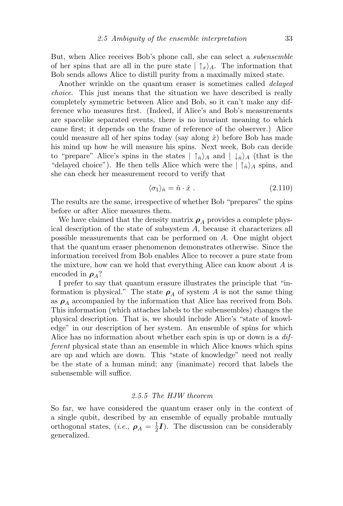But, when Alice receives Bob's phone call, she can select a subensemble of her spins that are all in the pure state  $|\uparrow_x\rangle_A$ . The information that Bob sends allows Alice to distill purity from a maximally mixed state.

Another wrinkle on the quantum eraser is sometimes called *delayed* choice. This just means that the situation we have described is really completely symmetric between Alice and Bob, so it can't make any difference who measures first. (Indeed, if Alice's and Bob's measurements are spacelike separated events, there is no invariant meaning to which came first; it depends on the frame of reference of the observer.) Alice could measure all of her spins today (say along  $\hat{x}$ ) before Bob has made his mind up how he will measure his spins. Next week, Bob can decide to "prepare" Alice's spins in the states  $|\uparrow_{\hat{n}}\rangle_A$  and  $|\downarrow_{\hat{n}}\rangle_A$  (that is the "delayed choice"). He then tells Alice which were the  $|\uparrow_{\hat{n}}\rangle_A$  spins, and she can check her measurement record to verify that

$$
\langle \sigma_1 \rangle_{\hat{n}} = \hat{n} \cdot \hat{x} \tag{2.110}
$$

The results are the same, irrespective of whether Bob "prepares" the spins before or after Alice measures them.

We have claimed that the density matrix  $\rho_A$  provides a complete physical description of the state of subsystem A, because it characterizes all possible measurements that can be performed on A. One might object that the quantum eraser phenomenon demonstrates otherwise. Since the information received from Bob enables Alice to recover a pure state from the mixture, how can we hold that everything Alice can know about  $A$  is encoded in  $\rho_A$ ?

I prefer to say that quantum erasure illustrates the principle that "information is physical." The state  $\rho_A$  of system A is not the same thing as  $\rho_A$  accompanied by the information that Alice has received from Bob. This information (which attaches labels to the subensembles) changes the physical description. That is, we should include Alice's "state of knowledge" in our description of her system. An ensemble of spins for which Alice has no information about whether each spin is up or down is a *dif*ferent physical state than an ensemble in which Alice knows which spins are up and which are down. This "state of knowledge" need not really be the state of a human mind; any (inanimate) record that labels the subensemble will suffice.

#### 2.5.5 The HJW theorem

So far, we have considered the quantum eraser only in the context of a single qubit, described by an ensemble of equally probable mutually orthogonal states,  $(i.e., \rho_A = \frac{1}{2})$  $\frac{1}{2}I$ ). The discussion can be considerably generalized.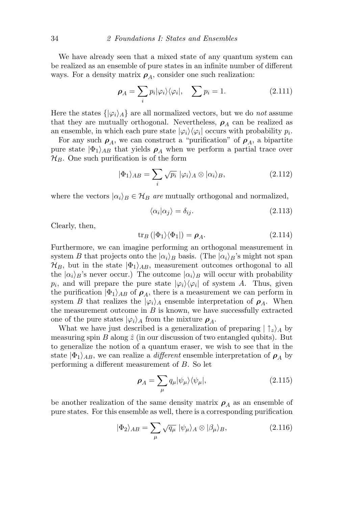We have already seen that a mixed state of any quantum system can be realized as an ensemble of pure states in an infinite number of different ways. For a density matrix  $\rho_A$ , consider one such realization:

$$
\rho_A = \sum_i p_i |\varphi_i\rangle\langle\varphi_i|, \quad \sum_i p_i = 1. \tag{2.111}
$$

Here the states  $\{|\varphi_i\rangle_A\}$  are all normalized vectors, but we do not assume that they are mutually orthogonal. Nevertheless,  $\rho_A$  can be realized as an ensemble, in which each pure state  $|\varphi_i\rangle\langle\varphi_i|$  occurs with probability  $p_i$ .

For any such  $\rho_A$ , we can construct a "purification" of  $\rho_A$ , a bipartite pure state  $|\Phi_1\rangle_{AB}$  that yields  $\rho_A$  when we perform a partial trace over  $\mathcal{H}_B$ . One such purification is of the form

$$
|\Phi_1\rangle_{AB} = \sum_i \sqrt{p_i} |\varphi_i\rangle_A \otimes |\alpha_i\rangle_B, \qquad (2.112)
$$

where the vectors  $|\alpha_i\rangle_B \in \mathcal{H}_B$  are mutually orthogonal and normalized,

$$
\langle \alpha_i | \alpha_j \rangle = \delta_{ij}.\tag{2.113}
$$

Clearly, then,

$$
\operatorname{tr}_{B} \left( |\Phi_{1} \rangle \langle \Phi_{1} | \right) = \rho_{A}. \tag{2.114}
$$

Furthermore, we can imagine performing an orthogonal measurement in system B that projects onto the  $|\alpha_i\rangle_B$  basis. (The  $|\alpha_i\rangle_B$ 's might not span  $\mathcal{H}_B$ , but in the state  $|\Phi_1\rangle_{AB}$ , measurement outcomes orthogonal to all the  $|\alpha_i\rangle_B$ 's never occur.) The outcome  $|\alpha_i\rangle_B$  will occur with probability  $p_i$ , and will prepare the pure state  $|\varphi_i\rangle\langle\varphi_i|$  of system A. Thus, given the purification  $|\Phi_1\rangle_{AB}$  of  $\rho_A$ , there is a measurement we can perform in system B that realizes the  $|\varphi_i\rangle_A$  ensemble interpretation of  $\rho_A$ . When the measurement outcome in  $B$  is known, we have successfully extracted one of the pure states  $|\varphi_i\rangle_A$  from the mixture  $\rho_A$ .

What we have just described is a generalization of preparing  $|\uparrow_z\rangle_A$  by measuring spin B along  $\hat{z}$  (in our discussion of two entangled qubits). But to generalize the notion of a quantum eraser, we wish to see that in the state  $|\Phi_1\rangle_{AB}$ , we can realize a *different* ensemble interpretation of  $\rho_A$  by performing a different measurement of B. So let

$$
\rho_A = \sum_{\mu} q_{\mu} |\psi_{\mu}\rangle \langle \psi_{\mu}|, \qquad (2.115)
$$

be another realization of the same density matrix  $\rho_A$  as an ensemble of pure states. For this ensemble as well, there is a corresponding purification

$$
|\Phi_2\rangle_{AB} = \sum_{\mu} \sqrt{q_{\mu}} | \psi_{\mu} \rangle_A \otimes | \beta_{\mu} \rangle_B, \qquad (2.116)
$$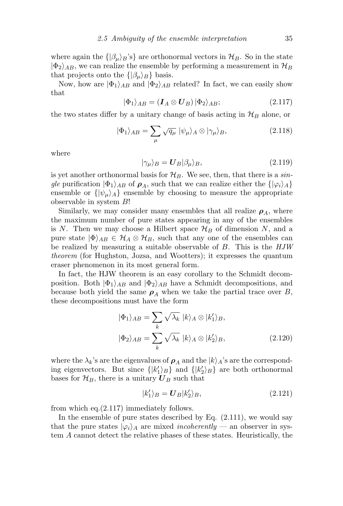where again the  $\{\beta_\mu\}_B$ 's $\}$  are orthonormal vectors in  $\mathcal{H}_B$ . So in the state  $|\Phi_2\rangle_{AB}$ , we can realize the ensemble by performing a measurement in  $\mathcal{H}_B$ that projects onto the  $\{|\beta_\mu\rangle_B\}$  basis.

Now, how are  $|\Phi_1\rangle_{AB}$  and  $|\Phi_2\rangle_{AB}$  related? In fact, we can easily show that

$$
|\Phi_1\rangle_{AB} = (I_A \otimes U_B) |\Phi_2\rangle_{AB};
$$
\n(2.117)

the two states differ by a unitary change of basis acting in  $\mathcal{H}_B$  alone, or

$$
|\Phi_1\rangle_{AB} = \sum_{\mu} \sqrt{q_{\mu}} | \psi_{\mu} \rangle_A \otimes | \gamma_{\mu} \rangle_B, \qquad (2.118)
$$

where

$$
|\gamma_{\mu}\rangle_B = \mathbf{U}_B |\beta_{\mu}\rangle_B, \tag{2.119}
$$

is yet another orthonormal basis for  $\mathcal{H}_B$ . We see, then, that there is a single purification  $|\Phi_1\rangle_{AB}$  of  $\rho_A$ , such that we can realize either the  $\{|\varphi_i\rangle_A\}$ ensemble or  $\{\psi_\mu\}_A\}$  ensemble by choosing to measure the appropriate observable in system B!

Similarly, we may consider many ensembles that all realize  $\rho_A$ , where the maximum number of pure states appearing in any of the ensembles is N. Then we may choose a Hilbert space  $\mathcal{H}_B$  of dimension N, and a pure state  $|\Phi\rangle_{AB} \in \mathcal{H}_A \otimes \mathcal{H}_B$ , such that any one of the ensembles can be realized by measuring a suitable observable of B. This is the HJW theorem (for Hughston, Jozsa, and Wootters); it expresses the quantum eraser phenomenon in its most general form.

In fact, the HJW theorem is an easy corollary to the Schmidt decomposition. Both  $|\Phi_1\rangle_{AB}$  and  $|\Phi_2\rangle_{AB}$  have a Schmidt decompositions, and because both yield the same  $\rho_A$  when we take the partial trace over B, these decompositions must have the form

$$
|\Phi_1\rangle_{AB} = \sum_k \sqrt{\lambda_k} |k\rangle_A \otimes |k_1'\rangle_B,
$$
  

$$
|\Phi_2\rangle_{AB} = \sum_k \sqrt{\lambda_k} |k\rangle_A \otimes |k_2'\rangle_B,
$$
 (2.120)

where the  $\lambda_k$ 's are the eigenvalues of  $\rho_A$  and the  $|k\rangle_A$ 's are the corresponding eigenvectors. But since  $\{|k_1'\rangle_B\}$  and  $\{|k_2'\rangle_B\}$  are both orthonormal bases for  $\mathcal{H}_B$ , there is a unitary  $\boldsymbol{U}_B$  such that

$$
|k_1'\rangle_B = \mathbf{U}_B |k_2'\rangle_B,\tag{2.121}
$$

from which eq.(2.117) immediately follows.

In the ensemble of pure states described by Eq.  $(2.111)$ , we would say that the pure states  $|\varphi_i\rangle_A$  are mixed *incoherently* — an observer in system A cannot detect the relative phases of these states. Heuristically, the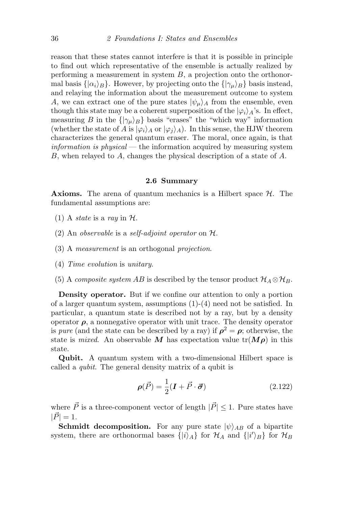reason that these states cannot interfere is that it is possible in principle to find out which representative of the ensemble is actually realized by performing a measurement in system  $B$ , a projection onto the orthonormal basis  $\{\alpha_i\}_B\}$ . However, by projecting onto the  $\{\gamma_\mu\}_B\}$  basis instead, and relaying the information about the measurement outcome to system A, we can extract one of the pure states  $|\psi_{\mu}\rangle_A$  from the ensemble, even though this state may be a coherent superposition of the  $|\varphi_i\rangle_A$ 's. In effect, measuring B in the  $\{|\gamma_\mu\rangle_B\}$  basis "erases" the "which way" information (whether the state of A is  $|\varphi_i\rangle_A$  or  $|\varphi_i\rangle_A$ ). In this sense, the HJW theorem characterizes the general quantum eraser. The moral, once again, is that  $information\ is\ physical$  — the information acquired by measuring system B, when relayed to A, changes the physical description of a state of A.

#### 2.6 Summary

**Axioms.** The arena of quantum mechanics is a Hilbert space  $H$ . The fundamental assumptions are:

- (1) A *state* is a ray in  $H$ .
- (2) An observable is a self-adjoint operator on  $H$ .
- (3) A measurement is an orthogonal projection.
- (4) Time evolution is unitary.
- (5) A *composite system AB* is described by the tensor product  $\mathcal{H}_A \otimes \mathcal{H}_B$ .

Density operator. But if we confine our attention to only a portion of a larger quantum system, assumptions (1)-(4) need not be satisfied. In particular, a quantum state is described not by a ray, but by a density operator  $\rho$ , a nonnegative operator with unit trace. The density operator is *pure* (and the state can be described by a ray) if  $\rho^2 = \rho$ ; otherwise, the state is *mixed*. An observable M has expectation value  $tr(M\rho)$  in this state.

Qubit. A quantum system with a two-dimensional Hilbert space is called a qubit. The general density matrix of a qubit is

$$
\rho(\vec{P}) = \frac{1}{2}(\mathbf{I} + \vec{P} \cdot \vec{\sigma})
$$
\n(2.122)

where  $\vec{P}$  is a three-component vector of length  $|\vec{P}| \leq 1.$  Pure states have  $|\vec{P}| = 1.$ 

**Schmidt decomposition.** For any pure state  $|\psi\rangle_{AB}$  of a bipartite system, there are orthonormal bases  $\{|i\rangle_A\}$  for  $\mathcal{H}_A$  and  $\{|i'\rangle_B\}$  for  $\mathcal{H}_B$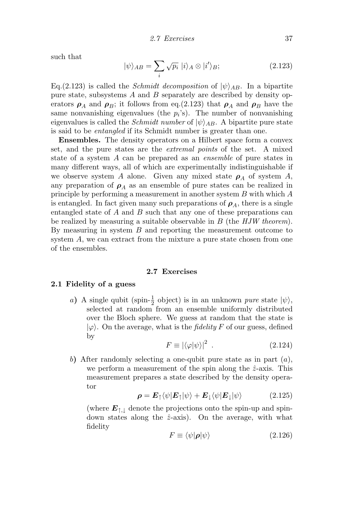such that

$$
|\psi\rangle_{AB} = \sum_{i} \sqrt{p_i} |i\rangle_A \otimes |i'\rangle_B; \tag{2.123}
$$

Eq.(2.123) is called the *Schmidt decomposition* of  $|\psi\rangle_{AB}$ . In a bipartite pure state, subsystems  $A$  and  $B$  separately are described by density operators  $\rho_A$  and  $\rho_B$ ; it follows from eq.(2.123) that  $\rho_A$  and  $\rho_B$  have the same nonvanishing eigenvalues (the  $p_i$ 's). The number of nonvanishing eigenvalues is called the *Schmidt number* of  $|\psi\rangle_{AB}$ . A bipartite pure state is said to be entangled if its Schmidt number is greater than one.

Ensembles. The density operators on a Hilbert space form a convex set, and the pure states are the extremal points of the set. A mixed state of a system A can be prepared as an ensemble of pure states in many different ways, all of which are experimentally indistinguishable if we observe system A alone. Given any mixed state  $\rho_A$  of system A, any preparation of  $\rho_A$  as an ensemble of pure states can be realized in principle by performing a measurement in another system B with which A is entangled. In fact given many such preparations of  $\rho_A$ , there is a single entangled state of A and B such that any one of these preparations can be realized by measuring a suitable observable in  $B$  (the  $HJW$  theorem). By measuring in system B and reporting the measurement outcome to system A, we can extract from the mixture a pure state chosen from one of the ensembles.

#### 2.7 Exercises

#### 2.1 Fidelity of a guess

a) A single qubit (spin- $\frac{1}{2}$  object) is in an unknown *pure* state  $|\psi\rangle$ , selected at random from an ensemble uniformly distributed over the Bloch sphere. We guess at random that the state is  $|\varphi\rangle$ . On the average, what is the *fidelity* F of our guess, defined by

$$
F \equiv |\langle \varphi | \psi \rangle|^2 \tag{2.124}
$$

b) After randomly selecting a one-qubit pure state as in part  $(a)$ , we perform a measurement of the spin along the  $\hat{z}$ -axis. This measurement prepares a state described by the density operator

$$
\rho = E_{\uparrow} \langle \psi | E_{\uparrow} | \psi \rangle + E_{\downarrow} \langle \psi | E_{\downarrow} | \psi \rangle \tag{2.125}
$$

(where  $E_{\uparrow,\downarrow}$  denote the projections onto the spin-up and spindown states along the  $\hat{z}$ -axis). On the average, with what fidelity

$$
F \equiv \langle \psi | \boldsymbol{\rho} | \psi \rangle \tag{2.126}
$$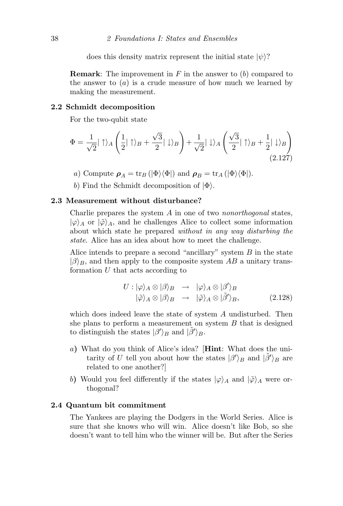does this density matrix represent the initial state  $|\psi\rangle$ ?

**Remark:** The improvement in  $F$  in the answer to  $(b)$  compared to the answer to  $(a)$  is a crude measure of how much we learned by making the measurement.

#### 2.2 Schmidt decomposition

For the two-qubit state

$$
\Phi = \frac{1}{\sqrt{2}} |\uparrow\rangle_A \left(\frac{1}{2} |\uparrow\rangle_B + \frac{\sqrt{3}}{2} |\downarrow\rangle_B\right) + \frac{1}{\sqrt{2}} |\downarrow\rangle_A \left(\frac{\sqrt{3}}{2} |\uparrow\rangle_B + \frac{1}{2} |\downarrow\rangle_B\right)
$$
\n(2.127)

a) Compute  $\rho_A = \text{tr}_B (\vert \Phi \rangle \langle \Phi \vert)$  and  $\rho_B = \text{tr}_A (\vert \Phi \rangle \langle \Phi \vert)$ .

b) Find the Schmidt decomposition of  $|\Phi\rangle$ .

#### 2.3 Measurement without disturbance?

Charlie prepares the system  $A$  in one of two nonorthogonal states,  $|\varphi\rangle_A$  or  $|\tilde{\varphi}\rangle_A$ , and he challenges Alice to collect some information about which state he prepared without in any way disturbing the state. Alice has an idea about how to meet the challenge.

Alice intends to prepare a second "ancillary" system  $B$  in the state  $|\beta\rangle_B$ , and then apply to the composite system AB a unitary transformation  $U$  that acts according to

$$
U: |\varphi\rangle_A \otimes |\beta\rangle_B \rightarrow |\varphi\rangle_A \otimes |\beta'\rangle_B
$$
  

$$
|\tilde{\varphi}\rangle_A \otimes |\beta\rangle_B \rightarrow |\tilde{\varphi}\rangle_A \otimes |\tilde{\beta}'\rangle_B,
$$
 (2.128)

which does indeed leave the state of system A undisturbed. Then she plans to perform a measurement on system  $B$  that is designed to distinguish the states  $|\beta'\rangle_B$  and  $|\tilde{\beta}'\rangle_B$ .

- a) What do you think of Alice's idea? [Hint: What does the unitarity of U tell you about how the states  $|\beta'\rangle_B$  and  $|\tilde{\beta'}\rangle_B$  are related to one another?]
- b) Would you feel differently if the states  $|\varphi\rangle_A$  and  $|\tilde{\varphi}\rangle_A$  were orthogonal?

#### 2.4 Quantum bit commitment

The Yankees are playing the Dodgers in the World Series. Alice is sure that she knows who will win. Alice doesn't like Bob, so she doesn't want to tell him who the winner will be. But after the Series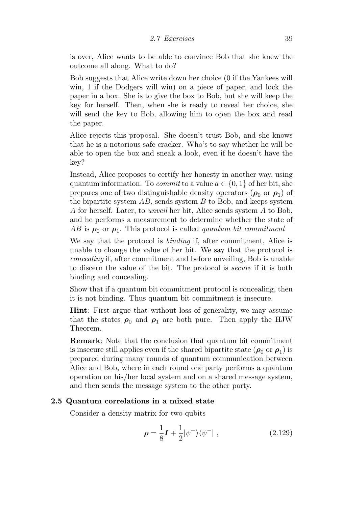is over, Alice wants to be able to convince Bob that she knew the outcome all along. What to do?

Bob suggests that Alice write down her choice (0 if the Yankees will win, 1 if the Dodgers will win) on a piece of paper, and lock the paper in a box. She is to give the box to Bob, but she will keep the key for herself. Then, when she is ready to reveal her choice, she will send the key to Bob, allowing him to open the box and read the paper.

Alice rejects this proposal. She doesn't trust Bob, and she knows that he is a notorious safe cracker. Who's to say whether he will be able to open the box and sneak a look, even if he doesn't have the key?

Instead, Alice proposes to certify her honesty in another way, using quantum information. To *commit* to a value  $a \in \{0, 1\}$  of her bit, she prepares one of two distinguishable density operators  $(\rho_0$  or  $\rho_1)$  of the bipartite system  $AB$ , sends system  $B$  to Bob, and keeps system A for herself. Later, to unveil her bit, Alice sends system A to Bob, and he performs a measurement to determine whether the state of  $AB$  is  $\rho_0$  or  $\rho_1$ . This protocol is called *quantum bit commitment* 

We say that the protocol is binding if, after commitment, Alice is unable to change the value of her bit. We say that the protocol is concealing if, after commitment and before unveiling, Bob is unable to discern the value of the bit. The protocol is secure if it is both binding and concealing.

Show that if a quantum bit commitment protocol is concealing, then it is not binding. Thus quantum bit commitment is insecure.

Hint: First argue that without loss of generality, we may assume that the states  $\rho_0$  and  $\rho_1$  are both pure. Then apply the HJW Theorem.

Remark: Note that the conclusion that quantum bit commitment is insecure still applies even if the shared bipartite state  $(\rho_0 \text{ or } \rho_1)$  is prepared during many rounds of quantum communication between Alice and Bob, where in each round one party performs a quantum operation on his/her local system and on a shared message system, and then sends the message system to the other party.

#### 2.5 Quantum correlations in a mixed state

Consider a density matrix for two qubits

$$
\rho = \frac{1}{8}\mathbf{I} + \frac{1}{2}|\psi^{-}\rangle\langle\psi^{-}|\ ,\qquad(2.129)
$$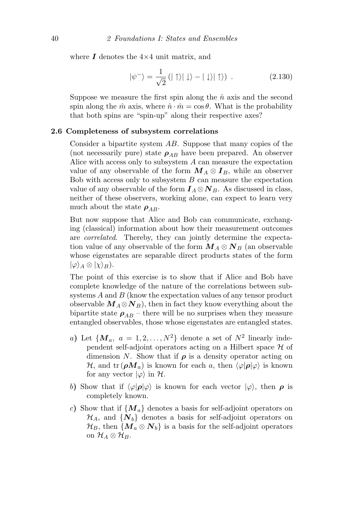where  $\bm{I}$  denotes the  $4\times 4$  unit matrix, and

$$
|\psi^{-}\rangle = \frac{1}{\sqrt{2}} \left(|\uparrow\rangle|\downarrow\rangle - |\downarrow\rangle|\uparrow\rangle\right) . \tag{2.130}
$$

Suppose we measure the first spin along the  $\hat{n}$  axis and the second spin along the  $\hat{m}$  axis, where  $\hat{n} \cdot \hat{m} = \cos \theta$ . What is the probability that both spins are "spin-up" along their respective axes?

#### 2.6 Completeness of subsystem correlations

Consider a bipartite system AB. Suppose that many copies of the (not necessarily pure) state  $\rho_{AB}$  have been prepared. An observer Alice with access only to subsystem A can measure the expectation value of any observable of the form  $M_A \otimes I_B$ , while an observer Bob with access only to subsystem  $B$  can measure the expectation value of any observable of the form  $I_A \otimes N_B$ . As discussed in class, neither of these observers, working alone, can expect to learn very much about the state  $\rho_{AB}$ .

But now suppose that Alice and Bob can communicate, exchanging (classical) information about how their measurement outcomes are correlated. Thereby, they can jointly determine the expectation value of any observable of the form  $M_A \otimes N_B$  (an observable whose eigenstates are separable direct products states of the form  $|\varphi\rangle_A \otimes |\chi\rangle_B$ ).

The point of this exercise is to show that if Alice and Bob have complete knowledge of the nature of the correlations between subsystems A and B (know the expectation values of any tensor product observable  $M_A \otimes N_B$ , then in fact they know everything about the bipartite state  $\rho_{AB}$  – there will be no surprises when they measure entangled observables, those whose eigenstates are entangled states.

- a) Let  $\{M_a, a = 1, 2, ..., N^2\}$  denote a set of  $N^2$  linearly independent self-adjoint operators acting on a Hilbert space  $\mathcal H$  of dimension N. Show that if  $\rho$  is a density operator acting on  $\mathcal{H}$ , and tr  $(\rho M_a)$  is known for each a, then  $\langle \varphi | \rho | \varphi \rangle$  is known for any vector  $|\varphi\rangle$  in  $\mathcal{H}$ .
- b) Show that if  $\langle \varphi | \rho | \varphi \rangle$  is known for each vector  $|\varphi\rangle$ , then  $\rho$  is completely known.
- c) Show that if  $\{M_a\}$  denotes a basis for self-adjoint operators on  $\mathcal{H}_A$ , and  $\{N_b\}$  denotes a basis for self-adjoint operators on  $\mathcal{H}_B$ , then  $\{M_a \otimes N_b\}$  is a basis for the self-adjoint operators on  $\mathcal{H}_A\otimes\mathcal{H}_B$ .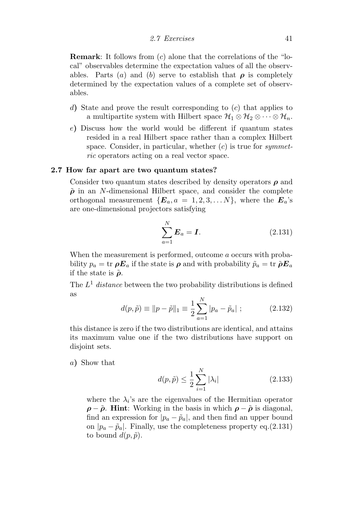Remark: It follows from (c) alone that the correlations of the "local" observables determine the expectation values of all the observables. Parts (a) and (b) serve to establish that  $\rho$  is completely determined by the expectation values of a complete set of observables.

- d) State and prove the result corresponding to  $(c)$  that applies to a multipartite system with Hilbert space  $\mathcal{H}_1 \otimes \mathcal{H}_2 \otimes \cdots \otimes \mathcal{H}_n$ .
- e) Discuss how the world would be different if quantum states resided in a real Hilbert space rather than a complex Hilbert space. Consider, in particular, whether  $(c)$  is true for symmetric operators acting on a real vector space.

#### 2.7 How far apart are two quantum states?

Consider two quantum states described by density operators  $\rho$  and  $\tilde{\rho}$  in an N-dimensional Hilbert space, and consider the complete orthogonal measurement  $\{E_a, a = 1, 2, 3, \ldots N\}$ , where the  $E_a$ 's are one-dimensional projectors satisfying

$$
\sum_{a=1}^{N} \boldsymbol{E}_a = \boldsymbol{I}.\tag{2.131}
$$

When the measurement is performed, outcome a occurs with probability  $p_a = \text{tr } \rho E_a$  if the state is  $\rho$  and with probability  $\tilde{p}_a = \text{tr } \tilde{\rho} E_a$ if the state is  $\tilde{\rho}$ .

The  $L^1$  distance between the two probability distributions is defined as

$$
d(p, \tilde{p}) \equiv ||p - \tilde{p}||_1 \equiv \frac{1}{2} \sum_{a=1}^{N} |p_a - \tilde{p}_a| ; \qquad (2.132)
$$

this distance is zero if the two distributions are identical, and attains its maximum value one if the two distributions have support on disjoint sets.

a) Show that

$$
d(p, \tilde{p}) \le \frac{1}{2} \sum_{i=1}^{N} |\lambda_i|
$$
 (2.133)

where the  $\lambda_i$ 's are the eigenvalues of the Hermitian operator  $\rho - \tilde{\rho}$ . Hint: Working in the basis in which  $\rho - \tilde{\rho}$  is diagonal, find an expression for  $|p_a - \tilde{p}_a|$ , and then find an upper bound on  $|p_a - \tilde{p}_a|$ . Finally, use the completeness property eq.(2.131) to bound  $d(p, \tilde{p})$ .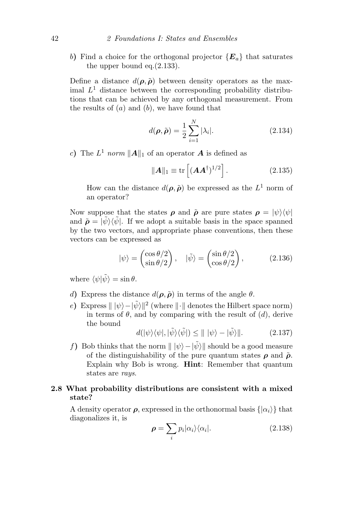b) Find a choice for the orthogonal projector  ${E_a}$  that saturates the upper bound eq.(2.133).

Define a distance  $d(\rho, \tilde{\rho})$  between density operators as the maximal  $L<sup>1</sup>$  distance between the corresponding probability distributions that can be achieved by any orthogonal measurement. From the results of  $(a)$  and  $(b)$ , we have found that

$$
d(\rho, \tilde{\rho}) = \frac{1}{2} \sum_{i=1}^{N} |\lambda_i|.
$$
 (2.134)

c) The  $L^1$  norm  $||A||_1$  of an operator A is defined as

$$
\|\mathbf{A}\|_1 \equiv \text{tr}\left[ (\mathbf{A}\mathbf{A}^\dagger)^{1/2} \right]. \tag{2.135}
$$

How can the distance  $d(\rho, \tilde{\rho})$  be expressed as the  $L^1$  norm of an operator?

Now suppose that the states  $\rho$  and  $\tilde{\rho}$  are pure states  $\rho = |\psi\rangle\langle\psi|$ and  $\tilde{\rho} = |\tilde{\psi}\rangle\langle \tilde{\psi}|$ . If we adopt a suitable basis in the space spanned by the two vectors, and appropriate phase conventions, then these vectors can be expressed as

$$
|\psi\rangle = \begin{pmatrix} \cos \theta/2\\ \sin \theta/2 \end{pmatrix}, \quad |\tilde{\psi}\rangle = \begin{pmatrix} \sin \theta/2\\ \cos \theta/2 \end{pmatrix}, \quad (2.136)
$$

where  $\langle \psi | \tilde{\psi} \rangle = \sin \theta$ .

- d) Express the distance  $d(\rho, \tilde{\rho})$  in terms of the angle  $\theta$ .
- e) Express  $\|\psi\rangle \hat{\psi}\|^{2}$  (where  $\|\cdot\|$  denotes the Hilbert space norm) in terms of  $\theta$ , and by comparing with the result of  $(d)$ , derive the bound

$$
d(|\psi\rangle\langle\psi|,|\tilde{\psi}\rangle\langle\tilde{\psi}|) \le |||\psi\rangle - |\tilde{\psi}\rangle||. \tag{2.137}
$$

f) Bob thinks that the norm  $|| \psi \rangle - |\tilde{\psi}\rangle ||$  should be a good measure of the distinguishability of the pure quantum states  $\rho$  and  $\tilde{\rho}$ . Explain why Bob is wrong. Hint: Remember that quantum states are rays.

#### 2.8 What probability distributions are consistent with a mixed state?

A density operator  $\rho$ , expressed in the orthonormal basis  $\{|\alpha_i\rangle\}$  that diagonalizes it, is

$$
\rho = \sum_{i} p_i |\alpha_i\rangle\langle\alpha_i|.
$$
 (2.138)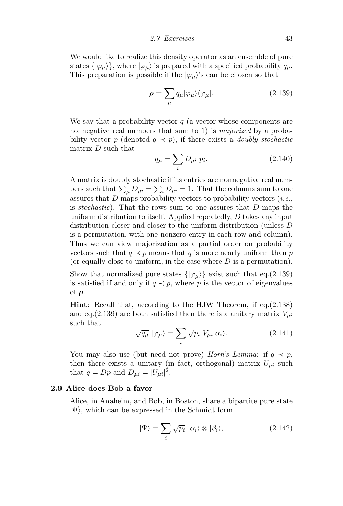We would like to realize this density operator as an ensemble of pure states  $\{\ket{\varphi_{\mu}}\}$ , where  $\ket{\varphi_{\mu}}$  is prepared with a specified probability  $q_{\mu}$ . This preparation is possible if the  $|\varphi_\mu\rangle$ 's can be chosen so that

$$
\rho = \sum_{\mu} q_{\mu} |\varphi_{\mu}\rangle \langle \varphi_{\mu}|. \tag{2.139}
$$

We say that a probability vector  $q$  (a vector whose components are nonnegative real numbers that sum to 1) is *majorized* by a probability vector p (denoted  $q \prec p$ ), if there exists a *doubly stochastic* matrix  $D$  such that

$$
q_{\mu} = \sum_{i} D_{\mu i} \ p_{i}.
$$
 (2.140)

A matrix is doubly stochastic if its entries are nonnegative real numbers such that  $\sum_{\mu} D_{\mu i} = \sum_{i} D_{\mu i} = 1$ . That the columns sum to one assures that  $D$  maps probability vectors to probability vectors (*i.e.*, is stochastic). That the rows sum to one assures that D maps the uniform distribution to itself. Applied repeatedly, D takes any input distribution closer and closer to the uniform distribution (unless D is a permutation, with one nonzero entry in each row and column). Thus we can view majorization as a partial order on probability vectors such that  $q \prec p$  means that q is more nearly uniform than p (or equally close to uniform, in the case where  $D$  is a permutation).

Show that normalized pure states  $\{\ket{\varphi_{\mu}}\}$  exist such that eq.(2.139) is satisfied if and only if  $q \prec p$ , where p is the vector of eigenvalues of ρ.

Hint: Recall that, according to the HJW Theorem, if eq.(2.138) and eq.(2.139) are both satisfied then there is a unitary matrix  $V_{\mu i}$ such that

$$
\sqrt{q_{\mu}} \, |\varphi_{\mu}\rangle = \sum_{i} \sqrt{p_{i}} \, V_{\mu i} |\alpha_{i}\rangle. \tag{2.141}
$$

You may also use (but need not prove) Horn's Lemma: if  $q \prec p$ , then there exists a unitary (in fact, orthogonal) matrix  $U_{\mu i}$  such that  $q = Dp$  and  $D_{\mu i} = |U_{\mu i}|^2$ .

#### 2.9 Alice does Bob a favor

Alice, in Anaheim, and Bob, in Boston, share a bipartite pure state  $|\Psi\rangle$ , which can be expressed in the Schmidt form

$$
|\Psi\rangle = \sum_{i} \sqrt{p_i} \, |\alpha_i\rangle \otimes |\beta_i\rangle, \tag{2.142}
$$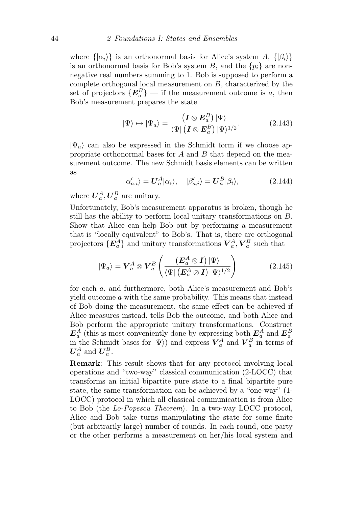where  $\{|\alpha_i\rangle\}$  is an orthonormal basis for Alice's system A,  $\{|\beta_i\rangle\}$ is an orthonormal basis for Bob's system B, and the  $\{p_i\}$  are nonnegative real numbers summing to 1. Bob is supposed to perform a complete orthogonal local measurement on B, characterized by the set of projectors  $\{E^B_a\}$  — if the measurement outcome is a, then Bob's measurement prepares the state

$$
|\Psi\rangle \mapsto |\Psi_a\rangle = \frac{\left(\mathbf{I} \otimes \mathbf{E}_a^B\right) |\Psi\rangle}{\langle \Psi | \left(\mathbf{I} \otimes \mathbf{E}_a^B\right) |\Psi\rangle^{1/2}}.
$$
 (2.143)

 $|\Psi_a\rangle$  can also be expressed in the Schmidt form if we choose appropriate orthonormal bases for  $A$  and  $B$  that depend on the measurement outcome. The new Schmidt basis elements can be written as

$$
|\alpha'_{a,i}\rangle = \mathbf{U}_a^A |\alpha_i\rangle, \quad |\beta'_{a,i}\rangle = \mathbf{U}_a^B |\beta_i\rangle,
$$
 (2.144)

where  $\boldsymbol{U}_a^A, \boldsymbol{U}_a^B$  are unitary.

Unfortunately, Bob's measurement apparatus is broken, though he still has the ability to perform local unitary transformations on B. Show that Alice can help Bob out by performing a measurement that is "locally equivalent" to Bob's. That is, there are orthogonal projectors  $\{E_a^A\}$  and unitary transformations  $\boldsymbol{V}_a^A, \boldsymbol{V}_a^B$  such that

$$
|\Psi_a\rangle = \mathbf{V}_a^A \otimes \mathbf{V}_a^B \left( \frac{(\mathbf{E}_a^A \otimes \mathbf{I}) |\Psi\rangle}{\langle \Psi | (\mathbf{E}_a^A \otimes \mathbf{I}) |\Psi\rangle^{1/2}} \right) \tag{2.145}
$$

for each a, and furthermore, both Alice's measurement and Bob's yield outcome a with the same probability. This means that instead of Bob doing the measurement, the same effect can be achieved if Alice measures instead, tells Bob the outcome, and both Alice and Bob perform the appropriate unitary transformations. Construct  $\mathbf{E}_a^A$  (this is most conveniently done by expressing both  $\mathbf{E}_a^A$  and  $\mathbf{E}_a^B$  in the Schmidt bases for  $|\Psi\rangle$ ) and express  $\mathbf{V}_a^A$  and  $\mathbf{V}_a^B$  in terms of  $\boldsymbol{U}_a^A$  and  $\boldsymbol{U}_a^B.$ 

Remark: This result shows that for any protocol involving local operations and "two-way" classical communication (2-LOCC) that transforms an initial bipartite pure state to a final bipartite pure state, the same transformation can be achieved by a "one-way" (1- LOCC) protocol in which all classical communication is from Alice to Bob (the Lo-Popescu Theorem). In a two-way LOCC protocol, Alice and Bob take turns manipulating the state for some finite (but arbitrarily large) number of rounds. In each round, one party or the other performs a measurement on her/his local system and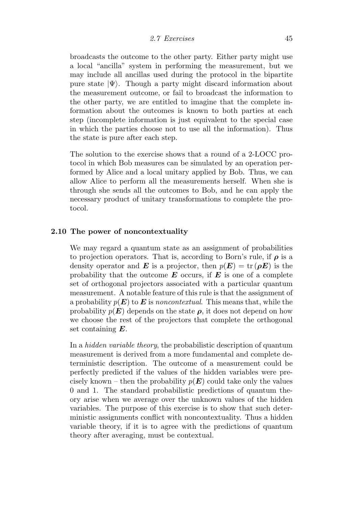broadcasts the outcome to the other party. Either party might use a local "ancilla" system in performing the measurement, but we may include all ancillas used during the protocol in the bipartite pure state  $|\Psi\rangle$ . Though a party might discard information about the measurement outcome, or fail to broadcast the information to the other party, we are entitled to imagine that the complete information about the outcomes is known to both parties at each step (incomplete information is just equivalent to the special case in which the parties choose not to use all the information). Thus the state is pure after each step.

The solution to the exercise shows that a round of a 2-LOCC protocol in which Bob measures can be simulated by an operation performed by Alice and a local unitary applied by Bob. Thus, we can allow Alice to perform all the measurements herself. When she is through she sends all the outcomes to Bob, and he can apply the necessary product of unitary transformations to complete the protocol.

#### 2.10 The power of noncontextuality

We may regard a quantum state as an assignment of probabilities to projection operators. That is, according to Born's rule, if  $\rho$  is a density operator and **E** is a projector, then  $p(E) = \text{tr}(\rho E)$  is the probability that the outcome  $E$  occurs, if  $E$  is one of a complete set of orthogonal projectors associated with a particular quantum measurement. A notable feature of this rule is that the assignment of a probability  $p(E)$  to E is noncontextual. This means that, while the probability  $p(E)$  depends on the state  $\rho$ , it does not depend on how we choose the rest of the projectors that complete the orthogonal set containing  $E$ .

In a *hidden variable theory*, the probabilistic description of quantum measurement is derived from a more fundamental and complete deterministic description. The outcome of a measurement could be perfectly predicted if the values of the hidden variables were precisely known – then the probability  $p(E)$  could take only the values 0 and 1. The standard probabilistic predictions of quantum theory arise when we average over the unknown values of the hidden variables. The purpose of this exercise is to show that such deterministic assignments conflict with noncontextuality. Thus a hidden variable theory, if it is to agree with the predictions of quantum theory after averaging, must be contextual.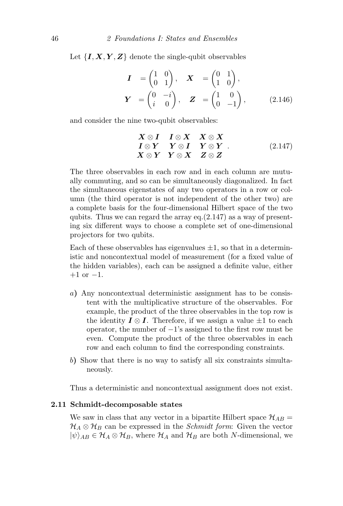Let  $\{I, X, Y, Z\}$  denote the single-qubit observables

$$
\mathbf{I} = \begin{pmatrix} 1 & 0 \\ 0 & 1 \end{pmatrix}, \quad \mathbf{X} = \begin{pmatrix} 0 & 1 \\ 1 & 0 \end{pmatrix},
$$

$$
\mathbf{Y} = \begin{pmatrix} 0 & -i \\ i & 0 \end{pmatrix}, \quad \mathbf{Z} = \begin{pmatrix} 1 & 0 \\ 0 & -1 \end{pmatrix}, \tag{2.146}
$$

and consider the nine two-qubit observables:

$$
X \otimes I \quad I \otimes X \quad X \otimes X I \otimes Y \quad Y \otimes I \quad Y \otimes Y . \qquad (2.147) X \otimes Y \quad Y \otimes X \quad Z \otimes Z
$$

The three observables in each row and in each column are mutually commuting, and so can be simultaneously diagonalized. In fact the simultaneous eigenstates of any two operators in a row or column (the third operator is not independent of the other two) are a complete basis for the four-dimensional Hilbert space of the two qubits. Thus we can regard the array eq. $(2.147)$  as a way of presenting six different ways to choose a complete set of one-dimensional projectors for two qubits.

Each of these observables has eigenvalues  $\pm 1$ , so that in a deterministic and noncontextual model of measurement (for a fixed value of the hidden variables), each can be assigned a definite value, either  $+1$  or  $-1$ .

- a) Any noncontextual deterministic assignment has to be consistent with the multiplicative structure of the observables. For example, the product of the three observables in the top row is the identity  $\mathbf{I} \otimes \mathbf{I}$ . Therefore, if we assign a value  $\pm 1$  to each operator, the number of −1's assigned to the first row must be even. Compute the product of the three observables in each row and each column to find the corresponding constraints.
- b) Show that there is no way to satisfy all six constraints simultaneously.

Thus a deterministic and noncontextual assignment does not exist.

#### 2.11 Schmidt-decomposable states

We saw in class that any vector in a bipartite Hilbert space  $\mathcal{H}_{AB} =$  $\mathcal{H}_A \otimes \mathcal{H}_B$  can be expressed in the *Schmidt form*: Given the vector  $|\psi\rangle_{AB} \in \mathcal{H}_A \otimes \mathcal{H}_B$ , where  $\mathcal{H}_A$  and  $\mathcal{H}_B$  are both N-dimensional, we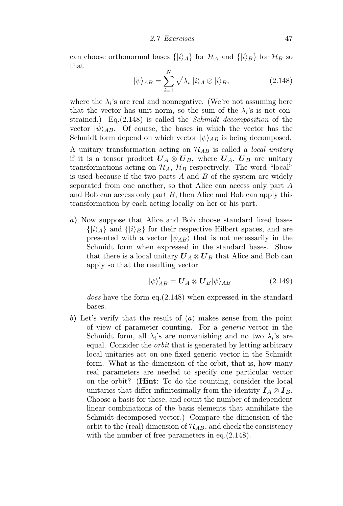can choose orthonormal bases  $\{|i\rangle_A\}$  for  $\mathcal{H}_A$  and  $\{|i\rangle_B\}$  for  $\mathcal{H}_B$  so that

$$
|\psi\rangle_{AB} = \sum_{i=1}^{N} \sqrt{\lambda_i} |i\rangle_A \otimes |i\rangle_B, \qquad (2.148)
$$

where the  $\lambda_i$ 's are real and nonnegative. (We're not assuming here that the vector has unit norm, so the sum of the  $\lambda_i$ 's is not constrained.) Eq.(2.148) is called the Schmidt decomposition of the vector  $|\psi\rangle_{AB}$ . Of course, the bases in which the vector has the Schmidt form depend on which vector  $|\psi\rangle_{AB}$  is being decomposed.

A unitary transformation acting on  $\mathcal{H}_{AB}$  is called a *local unitary* if it is a tensor product  $\boldsymbol{U}_A \otimes \boldsymbol{U}_B$ , where  $\boldsymbol{U}_A$ ,  $\boldsymbol{U}_B$  are unitary transformations acting on  $\mathcal{H}_A$ ,  $\mathcal{H}_B$  respectively. The word "local" is used because if the two parts  $A$  and  $B$  of the system are widely separated from one another, so that Alice can access only part A and Bob can access only part B, then Alice and Bob can apply this transformation by each acting locally on her or his part.

a) Now suppose that Alice and Bob choose standard fixed bases  $\{|i\rangle_A\}$  and  $\{|i\rangle_B\}$  for their respective Hilbert spaces, and are presented with a vector  $|\psi_{AB}\rangle$  that is not necessarily in the Schmidt form when expressed in the standard bases. Show that there is a local unitary  $U_A \otimes U_B$  that Alice and Bob can apply so that the resulting vector

$$
|\psi\rangle'_{AB} = U_A \otimes U_B |\psi\rangle_{AB} \tag{2.149}
$$

does have the form eq.(2.148) when expressed in the standard bases.

b) Let's verify that the result of (a) makes sense from the point of view of parameter counting. For a generic vector in the Schmidt form, all  $\lambda_i$ 's are nonvanishing and no two  $\lambda_i$ 's are equal. Consider the *orbit* that is generated by letting arbitrary local unitaries act on one fixed generic vector in the Schmidt form. What is the dimension of the orbit, that is, how many real parameters are needed to specify one particular vector on the orbit? (Hint: To do the counting, consider the local unitaries that differ infinitesimally from the identity  $I_A \otimes I_B$ . Choose a basis for these, and count the number of independent linear combinations of the basis elements that annihilate the Schmidt-decomposed vector.) Compare the dimension of the orbit to the (real) dimension of  $\mathcal{H}_{AB}$ , and check the consistency with the number of free parameters in eq.  $(2.148)$ .